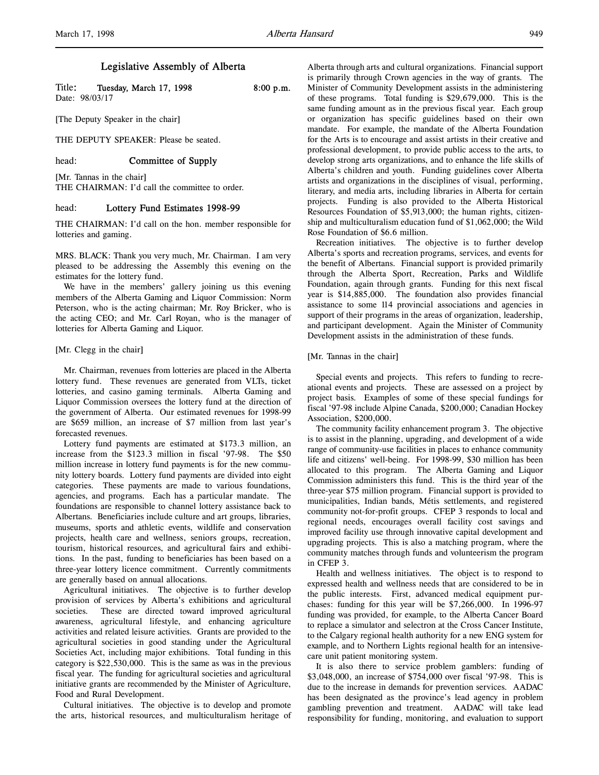# Legislative Assembly of Alberta

| Title: | Tuesday, March 17, 1998 | $8:00$ p.m. |
|--------|-------------------------|-------------|
|        | Date: 98/03/17          |             |

[The Deputy Speaker in the chair]

THE DEPUTY SPEAKER: Please be seated.

# head: **Committee of Supply**

[Mr. Tannas in the chair] THE CHAIRMAN: I'd call the committee to order.

# head: Lottery Fund Estimates 1998-99

THE CHAIRMAN: I'd call on the hon. member responsible for lotteries and gaming.

MRS. BLACK: Thank you very much, Mr. Chairman. I am very pleased to be addressing the Assembly this evening on the estimates for the lottery fund.

We have in the members' gallery joining us this evening members of the Alberta Gaming and Liquor Commission: Norm Peterson, who is the acting chairman; Mr. Roy Bricker, who is the acting CEO; and Mr. Carl Royan, who is the manager of lotteries for Alberta Gaming and Liquor.

### [Mr. Clegg in the chair]

Mr. Chairman, revenues from lotteries are placed in the Alberta lottery fund. These revenues are generated from VLTs, ticket lotteries, and casino gaming terminals. Alberta Gaming and Liquor Commission oversees the lottery fund at the direction of the government of Alberta. Our estimated revenues for 1998-99 are \$659 million, an increase of \$7 million from last year's forecasted revenues.

Lottery fund payments are estimated at \$173.3 million, an increase from the \$123.3 million in fiscal '97-98. The \$50 million increase in lottery fund payments is for the new community lottery boards. Lottery fund payments are divided into eight categories. These payments are made to various foundations, agencies, and programs. Each has a particular mandate. The foundations are responsible to channel lottery assistance back to Albertans. Beneficiaries include culture and art groups, libraries, museums, sports and athletic events, wildlife and conservation projects, health care and wellness, seniors groups, recreation, tourism, historical resources, and agricultural fairs and exhibitions. In the past, funding to beneficiaries has been based on a three-year lottery licence commitment. Currently commitments are generally based on annual allocations.

Agricultural initiatives. The objective is to further develop provision of services by Alberta's exhibitions and agricultural societies. These are directed toward improved agricultural awareness, agricultural lifestyle, and enhancing agriculture activities and related leisure activities. Grants are provided to the agricultural societies in good standing under the Agricultural Societies Act, including major exhibitions. Total funding in this category is \$22,530,000. This is the same as was in the previous fiscal year. The funding for agricultural societies and agricultural initiative grants are recommended by the Minister of Agriculture, Food and Rural Development.

Cultural initiatives. The objective is to develop and promote the arts, historical resources, and multiculturalism heritage of Alberta through arts and cultural organizations. Financial support is primarily through Crown agencies in the way of grants. The Minister of Community Development assists in the administering of these programs. Total funding is \$29,679,000. This is the same funding amount as in the previous fiscal year. Each group or organization has specific guidelines based on their own mandate. For example, the mandate of the Alberta Foundation for the Arts is to encourage and assist artists in their creative and professional development, to provide public access to the arts, to develop strong arts organizations, and to enhance the life skills of Alberta's children and youth. Funding guidelines cover Alberta artists and organizations in the disciplines of visual, performing, literary, and media arts, including libraries in Alberta for certain projects. Funding is also provided to the Alberta Historical Resources Foundation of \$5,913,000; the human rights, citizenship and multiculturalism education fund of \$1,062,000; the Wild Rose Foundation of \$6.6 million.

Recreation initiatives. The objective is to further develop Alberta's sports and recreation programs, services, and events for the benefit of Albertans. Financial support is provided primarily through the Alberta Sport, Recreation, Parks and Wildlife Foundation, again through grants. Funding for this next fiscal year is \$14,885,000. The foundation also provides financial assistance to some 114 provincial associations and agencies in support of their programs in the areas of organization, leadership, and participant development. Again the Minister of Community Development assists in the administration of these funds.

#### [Mr. Tannas in the chair]

Special events and projects. This refers to funding to recreational events and projects. These are assessed on a project by project basis. Examples of some of these special fundings for fiscal '97-98 include Alpine Canada, \$200,000; Canadian Hockey Association, \$200,000.

The community facility enhancement program 3. The objective is to assist in the planning, upgrading, and development of a wide range of community-use facilities in places to enhance community life and citizens' well-being. For 1998-99, \$30 million has been allocated to this program. The Alberta Gaming and Liquor Commission administers this fund. This is the third year of the three-year \$75 million program. Financial support is provided to municipalities, Indian bands, Métis settlements, and registered community not-for-profit groups. CFEP 3 responds to local and regional needs, encourages overall facility cost savings and improved facility use through innovative capital development and upgrading projects. This is also a matching program, where the community matches through funds and volunteerism the program in CFEP 3.

Health and wellness initiatives. The object is to respond to expressed health and wellness needs that are considered to be in the public interests. First, advanced medical equipment purchases: funding for this year will be \$7,266,000. In 1996-97 funding was provided, for example, to the Alberta Cancer Board to replace a simulator and selectron at the Cross Cancer Institute, to the Calgary regional health authority for a new ENG system for example, and to Northern Lights regional health for an intensivecare unit patient monitoring system.

It is also there to service problem gamblers: funding of \$3,048,000, an increase of \$754,000 over fiscal '97-98. This is due to the increase in demands for prevention services. AADAC has been designated as the province's lead agency in problem gambling prevention and treatment. AADAC will take lead responsibility for funding, monitoring, and evaluation to support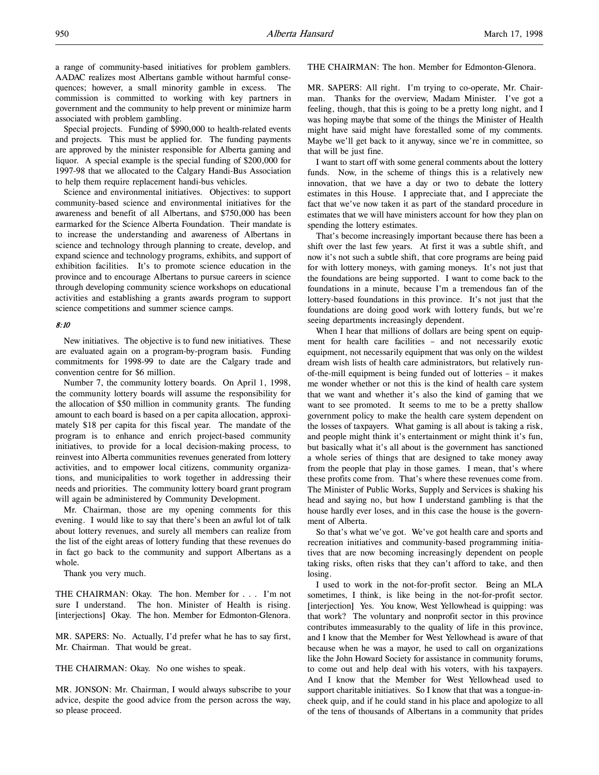a range of community-based initiatives for problem gamblers. AADAC realizes most Albertans gamble without harmful consequences; however, a small minority gamble in excess. The commission is committed to working with key partners in government and the community to help prevent or minimize harm associated with problem gambling.

Special projects. Funding of \$990,000 to health-related events and projects. This must be applied for. The funding payments are approved by the minister responsible for Alberta gaming and liquor. A special example is the special funding of \$200,000 for 1997-98 that we allocated to the Calgary Handi-Bus Association to help them require replacement handi-bus vehicles.

Science and environmental initiatives. Objectives: to support community-based science and environmental initiatives for the awareness and benefit of all Albertans, and \$750,000 has been earmarked for the Science Alberta Foundation. Their mandate is to increase the understanding and awareness of Albertans in science and technology through planning to create, develop, and expand science and technology programs, exhibits, and support of exhibition facilities. It's to promote science education in the province and to encourage Albertans to pursue careers in science through developing community science workshops on educational activities and establishing a grants awards program to support science competitions and summer science camps.

#### 8:10

New initiatives. The objective is to fund new initiatives. These are evaluated again on a program-by-program basis. Funding commitments for 1998-99 to date are the Calgary trade and convention centre for \$6 million.

Number 7, the community lottery boards. On April 1, 1998, the community lottery boards will assume the responsibility for the allocation of \$50 million in community grants. The funding amount to each board is based on a per capita allocation, approximately \$18 per capita for this fiscal year. The mandate of the program is to enhance and enrich project-based community initiatives, to provide for a local decision-making process, to reinvest into Alberta communities revenues generated from lottery activities, and to empower local citizens, community organizations, and municipalities to work together in addressing their needs and priorities. The community lottery board grant program will again be administered by Community Development.

Mr. Chairman, those are my opening comments for this evening. I would like to say that there's been an awful lot of talk about lottery revenues, and surely all members can realize from the list of the eight areas of lottery funding that these revenues do in fact go back to the community and support Albertans as a whole.

Thank you very much.

THE CHAIRMAN: Okay. The hon. Member for . . . I'm not sure I understand. The hon. Minister of Health is rising. [interjections] Okay. The hon. Member for Edmonton-Glenora.

MR. SAPERS: No. Actually, I'd prefer what he has to say first, Mr. Chairman. That would be great.

THE CHAIRMAN: Okay. No one wishes to speak.

MR. JONSON: Mr. Chairman, I would always subscribe to your advice, despite the good advice from the person across the way, so please proceed.

THE CHAIRMAN: The hon. Member for Edmonton-Glenora.

MR. SAPERS: All right. I'm trying to co-operate, Mr. Chairman. Thanks for the overview, Madam Minister. I've got a feeling, though, that this is going to be a pretty long night, and I was hoping maybe that some of the things the Minister of Health might have said might have forestalled some of my comments. Maybe we'll get back to it anyway, since we're in committee, so that will be just fine.

I want to start off with some general comments about the lottery funds. Now, in the scheme of things this is a relatively new innovation, that we have a day or two to debate the lottery estimates in this House. I appreciate that, and I appreciate the fact that we've now taken it as part of the standard procedure in estimates that we will have ministers account for how they plan on spending the lottery estimates.

That's become increasingly important because there has been a shift over the last few years. At first it was a subtle shift, and now it's not such a subtle shift, that core programs are being paid for with lottery moneys, with gaming moneys. It's not just that the foundations are being supported. I want to come back to the foundations in a minute, because I'm a tremendous fan of the lottery-based foundations in this province. It's not just that the foundations are doing good work with lottery funds, but we're seeing departments increasingly dependent.

When I hear that millions of dollars are being spent on equipment for health care facilities – and not necessarily exotic equipment, not necessarily equipment that was only on the wildest dream wish lists of health care administrators, but relatively runof-the-mill equipment is being funded out of lotteries – it makes me wonder whether or not this is the kind of health care system that we want and whether it's also the kind of gaming that we want to see promoted. It seems to me to be a pretty shallow government policy to make the health care system dependent on the losses of taxpayers. What gaming is all about is taking a risk, and people might think it's entertainment or might think it's fun, but basically what it's all about is the government has sanctioned a whole series of things that are designed to take money away from the people that play in those games. I mean, that's where these profits come from. That's where these revenues come from. The Minister of Public Works, Supply and Services is shaking his head and saying no, but how I understand gambling is that the house hardly ever loses, and in this case the house is the government of Alberta.

So that's what we've got. We've got health care and sports and recreation initiatives and community-based programming initiatives that are now becoming increasingly dependent on people taking risks, often risks that they can't afford to take, and then losing.

I used to work in the not-for-profit sector. Being an MLA sometimes, I think, is like being in the not-for-profit sector. [interjection] Yes. You know, West Yellowhead is quipping: was that work? The voluntary and nonprofit sector in this province contributes immeasurably to the quality of life in this province, and I know that the Member for West Yellowhead is aware of that because when he was a mayor, he used to call on organizations like the John Howard Society for assistance in community forums, to come out and help deal with his voters, with his taxpayers. And I know that the Member for West Yellowhead used to support charitable initiatives. So I know that that was a tongue-incheek quip, and if he could stand in his place and apologize to all of the tens of thousands of Albertans in a community that prides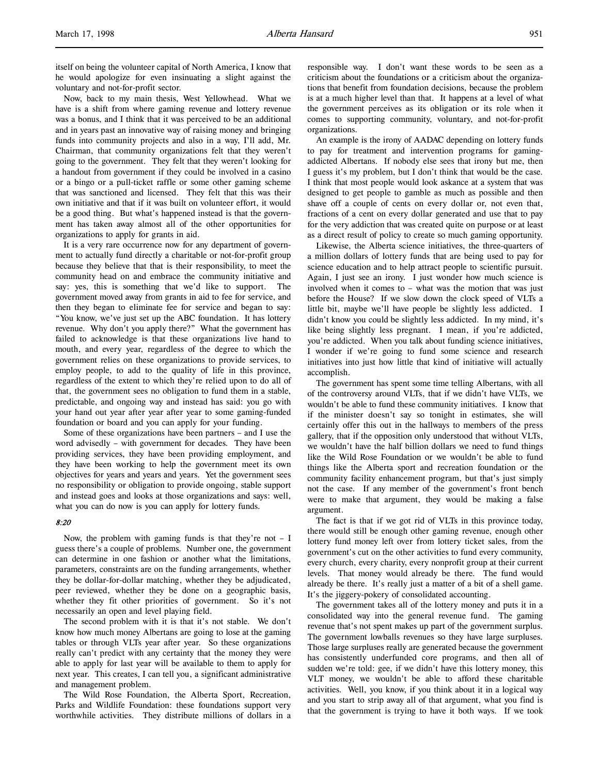itself on being the volunteer capital of North America, I know that he would apologize for even insinuating a slight against the voluntary and not-for-profit sector.

Now, back to my main thesis, West Yellowhead. What we have is a shift from where gaming revenue and lottery revenue was a bonus, and I think that it was perceived to be an additional and in years past an innovative way of raising money and bringing funds into community projects and also in a way, I'll add, Mr. Chairman, that community organizations felt that they weren't going to the government. They felt that they weren't looking for a handout from government if they could be involved in a casino or a bingo or a pull-ticket raffle or some other gaming scheme that was sanctioned and licensed. They felt that this was their own initiative and that if it was built on volunteer effort, it would be a good thing. But what's happened instead is that the government has taken away almost all of the other opportunities for organizations to apply for grants in aid.

It is a very rare occurrence now for any department of government to actually fund directly a charitable or not-for-profit group because they believe that that is their responsibility, to meet the community head on and embrace the community initiative and say: yes, this is something that we'd like to support. The government moved away from grants in aid to fee for service, and then they began to eliminate fee for service and began to say: "You know, we've just set up the ABC foundation. It has lottery revenue. Why don't you apply there?" What the government has failed to acknowledge is that these organizations live hand to mouth, and every year, regardless of the degree to which the government relies on these organizations to provide services, to employ people, to add to the quality of life in this province, regardless of the extent to which they're relied upon to do all of that, the government sees no obligation to fund them in a stable, predictable, and ongoing way and instead has said: you go with your hand out year after year after year to some gaming-funded foundation or board and you can apply for your funding.

Some of these organizations have been partners – and I use the word advisedly – with government for decades. They have been providing services, they have been providing employment, and they have been working to help the government meet its own objectives for years and years and years. Yet the government sees no responsibility or obligation to provide ongoing, stable support and instead goes and looks at those organizations and says: well, what you can do now is you can apply for lottery funds.

# 8:20

Now, the problem with gaming funds is that they're not  $- I$ guess there's a couple of problems. Number one, the government can determine in one fashion or another what the limitations, parameters, constraints are on the funding arrangements, whether they be dollar-for-dollar matching, whether they be adjudicated, peer reviewed, whether they be done on a geographic basis, whether they fit other priorities of government. So it's not necessarily an open and level playing field.

The second problem with it is that it's not stable. We don't know how much money Albertans are going to lose at the gaming tables or through VLTs year after year. So these organizations really can't predict with any certainty that the money they were able to apply for last year will be available to them to apply for next year. This creates, I can tell you, a significant administrative and management problem.

The Wild Rose Foundation, the Alberta Sport, Recreation, Parks and Wildlife Foundation: these foundations support very worthwhile activities. They distribute millions of dollars in a responsible way. I don't want these words to be seen as a criticism about the foundations or a criticism about the organizations that benefit from foundation decisions, because the problem is at a much higher level than that. It happens at a level of what the government perceives as its obligation or its role when it comes to supporting community, voluntary, and not-for-profit organizations.

An example is the irony of AADAC depending on lottery funds to pay for treatment and intervention programs for gamingaddicted Albertans. If nobody else sees that irony but me, then I guess it's my problem, but I don't think that would be the case. I think that most people would look askance at a system that was designed to get people to gamble as much as possible and then shave off a couple of cents on every dollar or, not even that, fractions of a cent on every dollar generated and use that to pay for the very addiction that was created quite on purpose or at least as a direct result of policy to create so much gaming opportunity.

Likewise, the Alberta science initiatives, the three-quarters of a million dollars of lottery funds that are being used to pay for science education and to help attract people to scientific pursuit. Again, I just see an irony. I just wonder how much science is involved when it comes to – what was the motion that was just before the House? If we slow down the clock speed of VLTs a little bit, maybe we'll have people be slightly less addicted. I didn't know you could be slightly less addicted. In my mind, it's like being slightly less pregnant. I mean, if you're addicted, you're addicted. When you talk about funding science initiatives, I wonder if we're going to fund some science and research initiatives into just how little that kind of initiative will actually accomplish.

The government has spent some time telling Albertans, with all of the controversy around VLTs, that if we didn't have VLTs, we wouldn't be able to fund these community initiatives. I know that if the minister doesn't say so tonight in estimates, she will certainly offer this out in the hallways to members of the press gallery, that if the opposition only understood that without VLTs, we wouldn't have the half billion dollars we need to fund things like the Wild Rose Foundation or we wouldn't be able to fund things like the Alberta sport and recreation foundation or the community facility enhancement program, but that's just simply not the case. If any member of the government's front bench were to make that argument, they would be making a false argument.

The fact is that if we got rid of VLTs in this province today, there would still be enough other gaming revenue, enough other lottery fund money left over from lottery ticket sales, from the government's cut on the other activities to fund every community, every church, every charity, every nonprofit group at their current levels. That money would already be there. The fund would already be there. It's really just a matter of a bit of a shell game. It's the jiggery-pokery of consolidated accounting.

The government takes all of the lottery money and puts it in a consolidated way into the general revenue fund. The gaming revenue that's not spent makes up part of the government surplus. The government lowballs revenues so they have large surpluses. Those large surpluses really are generated because the government has consistently underfunded core programs, and then all of sudden we're told: gee, if we didn't have this lottery money, this VLT money, we wouldn't be able to afford these charitable activities. Well, you know, if you think about it in a logical way and you start to strip away all of that argument, what you find is that the government is trying to have it both ways. If we took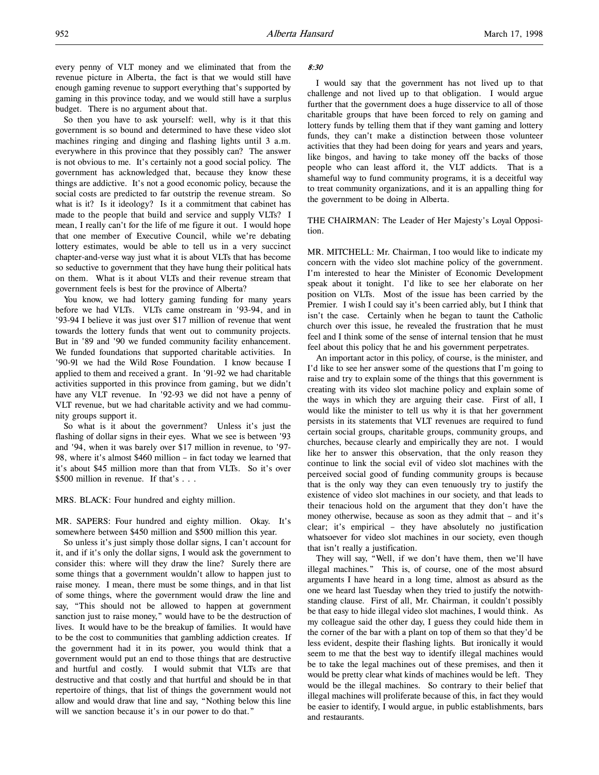every penny of VLT money and we eliminated that from the revenue picture in Alberta, the fact is that we would still have enough gaming revenue to support everything that's supported by gaming in this province today, and we would still have a surplus budget. There is no argument about that.

So then you have to ask yourself: well, why is it that this government is so bound and determined to have these video slot machines ringing and dinging and flashing lights until 3 a.m. everywhere in this province that they possibly can? The answer is not obvious to me. It's certainly not a good social policy. The government has acknowledged that, because they know these things are addictive. It's not a good economic policy, because the social costs are predicted to far outstrip the revenue stream. So what is it? Is it ideology? Is it a commitment that cabinet has made to the people that build and service and supply VLTs? I mean, I really can't for the life of me figure it out. I would hope that one member of Executive Council, while we're debating lottery estimates, would be able to tell us in a very succinct chapter-and-verse way just what it is about VLTs that has become so seductive to government that they have hung their political hats on them. What is it about VLTs and their revenue stream that government feels is best for the province of Alberta?

You know, we had lottery gaming funding for many years before we had VLTs. VLTs came onstream in '93-94, and in '93-94 I believe it was just over \$17 million of revenue that went towards the lottery funds that went out to community projects. But in '89 and '90 we funded community facility enhancement. We funded foundations that supported charitable activities. In '90-91 we had the Wild Rose Foundation. I know because I applied to them and received a grant. In '91-92 we had charitable activities supported in this province from gaming, but we didn't have any VLT revenue. In '92-93 we did not have a penny of VLT revenue, but we had charitable activity and we had community groups support it.

So what is it about the government? Unless it's just the flashing of dollar signs in their eyes. What we see is between '93 and '94, when it was barely over \$17 million in revenue, to '97- 98, where it's almost \$460 million – in fact today we learned that it's about \$45 million more than that from VLTs. So it's over \$500 million in revenue. If that's . . .

MRS. BLACK: Four hundred and eighty million.

MR. SAPERS: Four hundred and eighty million. Okay. It's somewhere between \$450 million and \$500 million this year.

So unless it's just simply those dollar signs, I can't account for it, and if it's only the dollar signs, I would ask the government to consider this: where will they draw the line? Surely there are some things that a government wouldn't allow to happen just to raise money. I mean, there must be some things, and in that list of some things, where the government would draw the line and say, "This should not be allowed to happen at government sanction just to raise money," would have to be the destruction of lives. It would have to be the breakup of families. It would have to be the cost to communities that gambling addiction creates. If the government had it in its power, you would think that a government would put an end to those things that are destructive and hurtful and costly. I would submit that VLTs are that destructive and that costly and that hurtful and should be in that repertoire of things, that list of things the government would not allow and would draw that line and say, "Nothing below this line will we sanction because it's in our power to do that."

#### 8:30

I would say that the government has not lived up to that challenge and not lived up to that obligation. I would argue further that the government does a huge disservice to all of those charitable groups that have been forced to rely on gaming and lottery funds by telling them that if they want gaming and lottery funds, they can't make a distinction between those volunteer activities that they had been doing for years and years and years, like bingos, and having to take money off the backs of those people who can least afford it, the VLT addicts. That is a shameful way to fund community programs, it is a deceitful way to treat community organizations, and it is an appalling thing for the government to be doing in Alberta.

### THE CHAIRMAN: The Leader of Her Majesty's Loyal Opposition.

MR. MITCHELL: Mr. Chairman, I too would like to indicate my concern with the video slot machine policy of the government. I'm interested to hear the Minister of Economic Development speak about it tonight. I'd like to see her elaborate on her position on VLTs. Most of the issue has been carried by the Premier. I wish I could say it's been carried ably, but I think that isn't the case. Certainly when he began to taunt the Catholic church over this issue, he revealed the frustration that he must feel and I think some of the sense of internal tension that he must feel about this policy that he and his government perpetrates.

An important actor in this policy, of course, is the minister, and I'd like to see her answer some of the questions that I'm going to raise and try to explain some of the things that this government is creating with its video slot machine policy and explain some of the ways in which they are arguing their case. First of all, I would like the minister to tell us why it is that her government persists in its statements that VLT revenues are required to fund certain social groups, charitable groups, community groups, and churches, because clearly and empirically they are not. I would like her to answer this observation, that the only reason they continue to link the social evil of video slot machines with the perceived social good of funding community groups is because that is the only way they can even tenuously try to justify the existence of video slot machines in our society, and that leads to their tenacious hold on the argument that they don't have the money otherwise, because as soon as they admit that – and it's clear; it's empirical – they have absolutely no justification whatsoever for video slot machines in our society, even though that isn't really a justification.

They will say, "Well, if we don't have them, then we'll have illegal machines." This is, of course, one of the most absurd arguments I have heard in a long time, almost as absurd as the one we heard last Tuesday when they tried to justify the notwithstanding clause. First of all, Mr. Chairman, it couldn't possibly be that easy to hide illegal video slot machines, I would think. As my colleague said the other day, I guess they could hide them in the corner of the bar with a plant on top of them so that they'd be less evident, despite their flashing lights. But ironically it would seem to me that the best way to identify illegal machines would be to take the legal machines out of these premises, and then it would be pretty clear what kinds of machines would be left. They would be the illegal machines. So contrary to their belief that illegal machines will proliferate because of this, in fact they would be easier to identify, I would argue, in public establishments, bars and restaurants.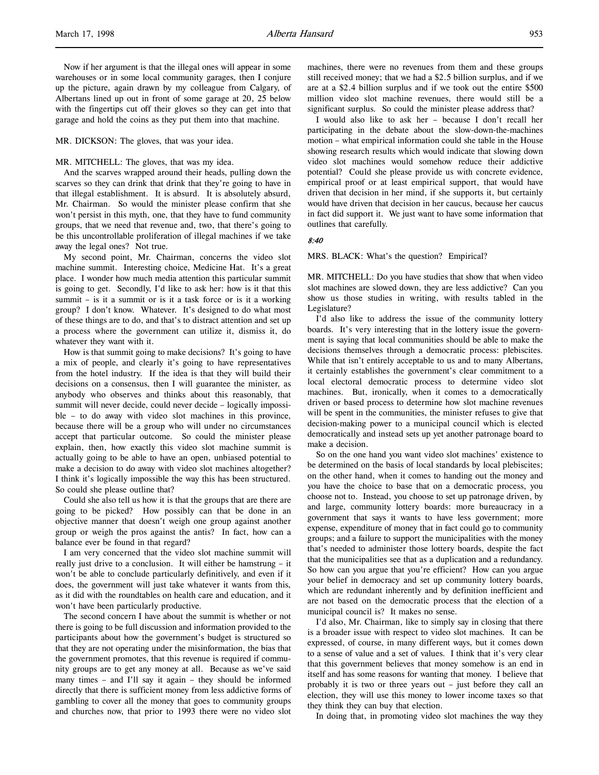Now if her argument is that the illegal ones will appear in some warehouses or in some local community garages, then I conjure up the picture, again drawn by my colleague from Calgary, of Albertans lined up out in front of some garage at 20, 25 below with the fingertips cut off their gloves so they can get into that garage and hold the coins as they put them into that machine.

MR. DICKSON: The gloves, that was your idea.

#### MR. MITCHELL: The gloves, that was my idea.

And the scarves wrapped around their heads, pulling down the scarves so they can drink that drink that they're going to have in that illegal establishment. It is absurd. It is absolutely absurd, Mr. Chairman. So would the minister please confirm that she won't persist in this myth, one, that they have to fund community groups, that we need that revenue and, two, that there's going to be this uncontrollable proliferation of illegal machines if we take away the legal ones? Not true.

My second point, Mr. Chairman, concerns the video slot machine summit. Interesting choice, Medicine Hat. It's a great place. I wonder how much media attention this particular summit is going to get. Secondly, I'd like to ask her: how is it that this summit – is it a summit or is it a task force or is it a working group? I don't know. Whatever. It's designed to do what most of these things are to do, and that's to distract attention and set up a process where the government can utilize it, dismiss it, do whatever they want with it.

How is that summit going to make decisions? It's going to have a mix of people, and clearly it's going to have representatives from the hotel industry. If the idea is that they will build their decisions on a consensus, then I will guarantee the minister, as anybody who observes and thinks about this reasonably, that summit will never decide, could never decide – logically impossible – to do away with video slot machines in this province, because there will be a group who will under no circumstances accept that particular outcome. So could the minister please explain, then, how exactly this video slot machine summit is actually going to be able to have an open, unbiased potential to make a decision to do away with video slot machines altogether? I think it's logically impossible the way this has been structured. So could she please outline that?

Could she also tell us how it is that the groups that are there are going to be picked? How possibly can that be done in an objective manner that doesn't weigh one group against another group or weigh the pros against the antis? In fact, how can a balance ever be found in that regard?

I am very concerned that the video slot machine summit will really just drive to a conclusion. It will either be hamstrung – it won't be able to conclude particularly definitively, and even if it does, the government will just take whatever it wants from this, as it did with the roundtables on health care and education, and it won't have been particularly productive.

The second concern I have about the summit is whether or not there is going to be full discussion and information provided to the participants about how the government's budget is structured so that they are not operating under the misinformation, the bias that the government promotes, that this revenue is required if community groups are to get any money at all. Because as we've said many times – and I'll say it again – they should be informed directly that there is sufficient money from less addictive forms of gambling to cover all the money that goes to community groups and churches now, that prior to 1993 there were no video slot

machines, there were no revenues from them and these groups still received money; that we had a \$2.5 billion surplus, and if we are at a \$2.4 billion surplus and if we took out the entire \$500 million video slot machine revenues, there would still be a significant surplus. So could the minister please address that?

I would also like to ask her – because I don't recall her participating in the debate about the slow-down-the-machines motion – what empirical information could she table in the House showing research results which would indicate that slowing down video slot machines would somehow reduce their addictive potential? Could she please provide us with concrete evidence, empirical proof or at least empirical support, that would have driven that decision in her mind, if she supports it, but certainly would have driven that decision in her caucus, because her caucus in fact did support it. We just want to have some information that outlines that carefully.

# 8:40

MRS. BLACK: What's the question? Empirical?

MR. MITCHELL: Do you have studies that show that when video slot machines are slowed down, they are less addictive? Can you show us those studies in writing, with results tabled in the Legislature?

I'd also like to address the issue of the community lottery boards. It's very interesting that in the lottery issue the government is saying that local communities should be able to make the decisions themselves through a democratic process: plebiscites. While that isn't entirely acceptable to us and to many Albertans, it certainly establishes the government's clear commitment to a local electoral democratic process to determine video slot machines. But, ironically, when it comes to a democratically driven or based process to determine how slot machine revenues will be spent in the communities, the minister refuses to give that decision-making power to a municipal council which is elected democratically and instead sets up yet another patronage board to make a decision.

So on the one hand you want video slot machines' existence to be determined on the basis of local standards by local plebiscites; on the other hand, when it comes to handing out the money and you have the choice to base that on a democratic process, you choose not to. Instead, you choose to set up patronage driven, by and large, community lottery boards: more bureaucracy in a government that says it wants to have less government; more expense, expenditure of money that in fact could go to community groups; and a failure to support the municipalities with the money that's needed to administer those lottery boards, despite the fact that the municipalities see that as a duplication and a redundancy. So how can you argue that you're efficient? How can you argue your belief in democracy and set up community lottery boards, which are redundant inherently and by definition inefficient and are not based on the democratic process that the election of a municipal council is? It makes no sense.

I'd also, Mr. Chairman, like to simply say in closing that there is a broader issue with respect to video slot machines. It can be expressed, of course, in many different ways, but it comes down to a sense of value and a set of values. I think that it's very clear that this government believes that money somehow is an end in itself and has some reasons for wanting that money. I believe that probably it is two or three years out – just before they call an election, they will use this money to lower income taxes so that they think they can buy that election.

In doing that, in promoting video slot machines the way they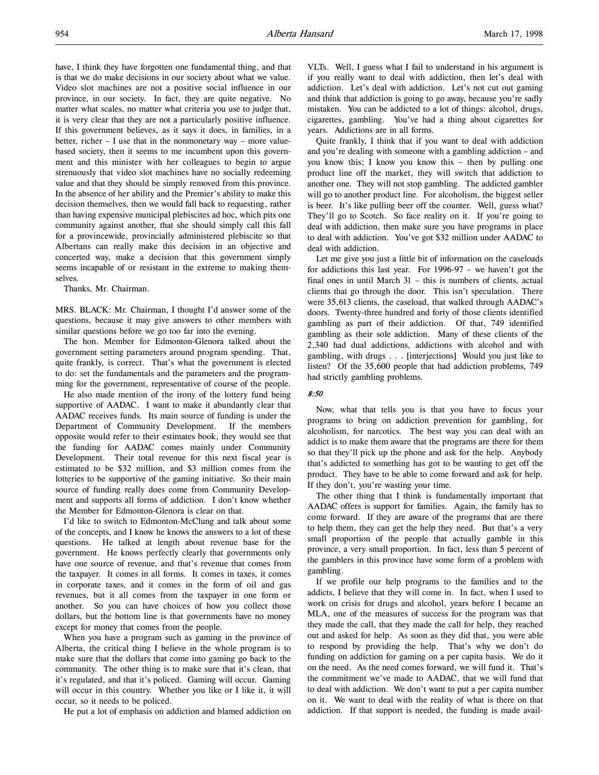have, I think they have forgotten one fundamental thing, and that is that we do make decisions in our society about what we value. Video slot machines are not a positive social influence in our province, in our society. In fact, they are quite negative. No matter what scales, no matter what criteria you use to judge that, it is very clear that they are not a particularly positive influence. If this government believes, as it says it does, in families, in a better, richer – I use that in the nonmonetary way – more valuebased society, then it seems to me incumbent upon this government and this minister with her colleagues to begin to argue strenuously that video slot machines have no socially redeeming value and that they should be simply removed from this province. In the absence of her ability and the Premier's ability to make this decision themselves, then we would fall back to requesting, rather than having expensive municipal plebiscites ad hoc, which pits one community against another, that she should simply call this fall for a provincewide, provincially administered plebiscite so that Albertans can really make this decision in an objective and concerted way, make a decision that this government simply seems incapable of or resistant in the extreme to making themselves.

Thanks, Mr. Chairman.

MRS. BLACK: Mr. Chairman, I thought I'd answer some of the questions, because it may give answers to other members with similar questions before we go too far into the evening.

The hon. Member for Edmonton-Glenora talked about the government setting parameters around program spending. That, quite frankly, is correct. That's what the government is elected to do: set the fundamentals and the parameters and the programming for the government, representative of course of the people.

He also made mention of the irony of the lottery fund being supportive of AADAC. I want to make it abundantly clear that AADAC receives funds. Its main source of funding is under the Department of Community Development. If the members opposite would refer to their estimates book, they would see that the funding for AADAC comes mainly under Community Development. Their total revenue for this next fiscal year is estimated to be \$32 million, and \$3 million comes from the lotteries to be supportive of the gaming initiative. So their main source of funding really does come from Community Development and supports all forms of addiction. I don't know whether the Member for Edmonton-Glenora is clear on that.

I'd like to switch to Edmonton-McClung and talk about some of the concepts, and I know he knows the answers to a lot of these questions. He talked at length about revenue base for the government. He knows perfectly clearly that governments only have one source of revenue, and that's revenue that comes from the taxpayer. It comes in all forms. It comes in taxes, it comes in corporate taxes, and it comes in the form of oil and gas revenues, but it all comes from the taxpayer in one form or another. So you can have choices of how you collect those dollars, but the bottom line is that governments have no money except for money that comes from the people.

When you have a program such as gaming in the province of Alberta, the critical thing I believe in the whole program is to make sure that the dollars that come into gaming go back to the community. The other thing is to make sure that it's clean, that it's regulated, and that it's policed. Gaming will occur. Gaming will occur in this country. Whether you like or I like it, it will occur, so it needs to be policed.

He put a lot of emphasis on addiction and blamed addiction on

VLTs. Well, I guess what I fail to understand in his argument is if you really want to deal with addiction, then let's deal with addiction. Let's deal with addiction. Let's not cut out gaming and think that addiction is going to go away, because you're sadly mistaken. You can be addicted to a lot of things: alcohol, drugs, cigarettes, gambling. You've had a thing about cigarettes for years. Addictions are in all forms.

Quite frankly, I think that if you want to deal with addiction and you're dealing with someone with a gambling addiction – and you know this; I know you know this – then by pulling one product line off the market, they will switch that addiction to another one. They will not stop gambling. The addicted gambler will go to another product line. For alcoholism, the biggest seller is beer. It's like pulling beer off the counter. Well, guess what? They'll go to Scotch. So face reality on it. If you're going to deal with addiction, then make sure you have programs in place to deal with addiction. You've got \$32 million under AADAC to deal with addiction.

Let me give you just a little bit of information on the caseloads for addictions this last year. For 1996-97 – we haven't got the final ones in until March 31 – this is numbers of clients, actual clients that go through the door. This isn't speculation. There were 35,613 clients, the caseload, that walked through AADAC's doors. Twenty-three hundred and forty of those clients identified gambling as part of their addiction. Of that, 749 identified gambling as their sole addiction. Many of these clients of the 2,340 had dual addictions, addictions with alcohol and with gambling, with drugs . . . [interjections] Would you just like to listen? Of the 35,600 people that had addiction problems, 749 had strictly gambling problems.

### 8:50

Now, what that tells you is that you have to focus your programs to bring on addiction prevention for gambling, for alcoholism, for narcotics. The best way you can deal with an addict is to make them aware that the programs are there for them so that they'll pick up the phone and ask for the help. Anybody that's addicted to something has got to be wanting to get off the product. They have to be able to come forward and ask for help. If they don't, you're wasting your time.

The other thing that I think is fundamentally important that AADAC offers is support for families. Again, the family has to come forward. If they are aware of the programs that are there to help them, they can get the help they need. But that's a very small proportion of the people that actually gamble in this province, a very small proportion. In fact, less than 5 percent of the gamblers in this province have some form of a problem with gambling.

If we profile our help programs to the families and to the addicts, I believe that they will come in. In fact, when I used to work on crisis for drugs and alcohol, years before I became an MLA, one of the measures of success for the program was that they made the call, that they made the call for help, they reached out and asked for help. As soon as they did that, you were able to respond by providing the help. That's why we don't do funding on addiction for gaming on a per capita basis. We do it on the need. As the need comes forward, we will fund it. That's the commitment we've made to AADAC, that we will fund that to deal with addiction. We don't want to put a per capita number on it. We want to deal with the reality of what is there on that addiction. If that support is needed, the funding is made avail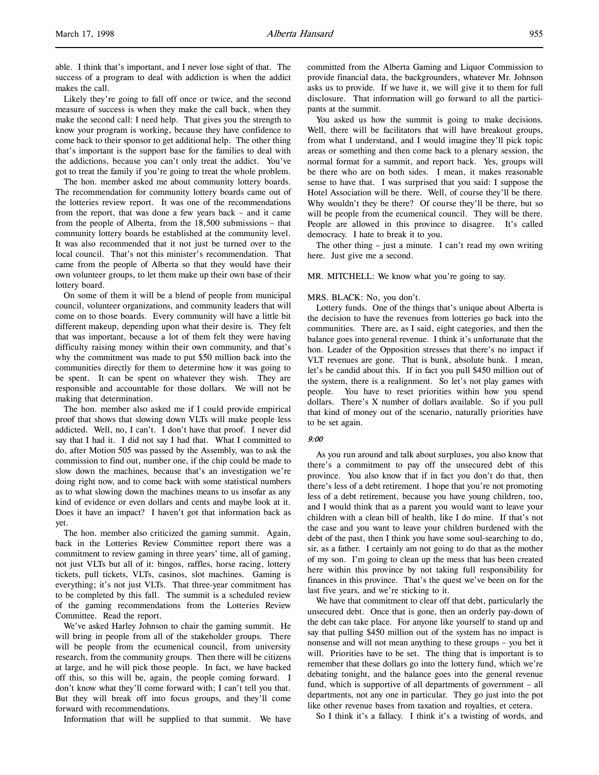able. I think that's important, and I never lose sight of that. The success of a program to deal with addiction is when the addict makes the call.

Likely they're going to fall off once or twice, and the second measure of success is when they make the call back, when they make the second call: I need help. That gives you the strength to know your program is working, because they have confidence to come back to their sponsor to get additional help. The other thing that's important is the support base for the families to deal with the addictions, because you can't only treat the addict. You've got to treat the family if you're going to treat the whole problem.

The hon. member asked me about community lottery boards. The recommendation for community lottery boards came out of the lotteries review report. It was one of the recommendations from the report, that was done a few years back – and it came from the people of Alberta, from the 18,500 submissions – that community lottery boards be established at the community level. It was also recommended that it not just be turned over to the local council. That's not this minister's recommendation. That came from the people of Alberta so that they would have their own volunteer groups, to let them make up their own base of their lottery board.

On some of them it will be a blend of people from municipal council, volunteer organizations, and community leaders that will come on to those boards. Every community will have a little bit different makeup, depending upon what their desire is. They felt that was important, because a lot of them felt they were having difficulty raising money within their own community, and that's why the commitment was made to put \$50 million back into the communities directly for them to determine how it was going to be spent. It can be spent on whatever they wish. They are responsible and accountable for those dollars. We will not be making that determination.

The hon. member also asked me if I could provide empirical proof that shows that slowing down VLTs will make people less addicted. Well, no, I can't. I don't have that proof. I never did say that I had it. I did not say I had that. What I committed to do, after Motion 505 was passed by the Assembly, was to ask the commission to find out, number one, if the chip could be made to slow down the machines, because that's an investigation we're doing right now, and to come back with some statistical numbers as to what slowing down the machines means to us insofar as any kind of evidence or even dollars and cents and maybe look at it. Does it have an impact? I haven't got that information back as yet.

The hon. member also criticized the gaming summit. Again, back in the Lotteries Review Committee report there was a commitment to review gaming in three years' time, all of gaming, not just VLTs but all of it: bingos, raffles, horse racing, lottery tickets, pull tickets, VLTs, casinos, slot machines. Gaming is everything; it's not just VLTs. That three-year commitment has to be completed by this fall. The summit is a scheduled review of the gaming recommendations from the Lotteries Review Committee. Read the report.

We've asked Harley Johnson to chair the gaming summit. He will bring in people from all of the stakeholder groups. There will be people from the ecumenical council, from university research, from the community groups. Then there will be citizens at large, and he will pick those people. In fact, we have backed off this, so this will be, again, the people coming forward. I don't know what they'll come forward with; I can't tell you that. But they will break off into focus groups, and they'll come forward with recommendations.

Information that will be supplied to that summit. We have

committed from the Alberta Gaming and Liquor Commission to provide financial data, the backgrounders, whatever Mr. Johnson asks us to provide. If we have it, we will give it to them for full disclosure. That information will go forward to all the participants at the summit.

You asked us how the summit is going to make decisions. Well, there will be facilitators that will have breakout groups, from what I understand, and I would imagine they'll pick topic areas or something and then come back to a plenary session, the normal format for a summit, and report back. Yes, groups will be there who are on both sides. I mean, it makes reasonable sense to have that. I was surprised that you said: I suppose the Hotel Association will be there. Well, of course they'll be there. Why wouldn't they be there? Of course they'll be there, but so will be people from the ecumenical council. They will be there. People are allowed in this province to disagree. It's called democracy. I hate to break it to you.

The other thing – just a minute. I can't read my own writing here. Just give me a second.

MR. MITCHELL: We know what you're going to say.

#### MRS. BLACK: No, you don't.

Lottery funds. One of the things that's unique about Alberta is the decision to have the revenues from lotteries go back into the communities. There are, as I said, eight categories, and then the balance goes into general revenue. I think it's unfortunate that the hon. Leader of the Opposition stresses that there's no impact if VLT revenues are gone. That is bunk, absolute bunk. I mean, let's be candid about this. If in fact you pull \$450 million out of the system, there is a realignment. So let's not play games with people. You have to reset priorities within how you spend dollars. There's X number of dollars available. So if you pull that kind of money out of the scenario, naturally priorities have to be set again.

# 9:00

As you run around and talk about surpluses, you also know that there's a commitment to pay off the unsecured debt of this province. You also know that if in fact you don't do that, then there's less of a debt retirement. I hope that you're not promoting less of a debt retirement, because you have young children, too, and I would think that as a parent you would want to leave your children with a clean bill of health, like I do mine. If that's not the case and you want to leave your children burdened with the debt of the past, then I think you have some soul-searching to do, sir, as a father. I certainly am not going to do that as the mother of my son. I'm going to clean up the mess that has been created here within this province by not taking full responsibility for finances in this province. That's the quest we've been on for the last five years, and we're sticking to it.

We have that commitment to clear off that debt, particularly the unsecured debt. Once that is gone, then an orderly pay-down of the debt can take place. For anyone like yourself to stand up and say that pulling \$450 million out of the system has no impact is nonsense and will not mean anything to these groups – you bet it will. Priorities have to be set. The thing that is important is to remember that these dollars go into the lottery fund, which we're debating tonight, and the balance goes into the general revenue fund, which is supportive of all departments of government – all departments, not any one in particular. They go just into the pot like other revenue bases from taxation and royalties, et cetera.

So I think it's a fallacy. I think it's a twisting of words, and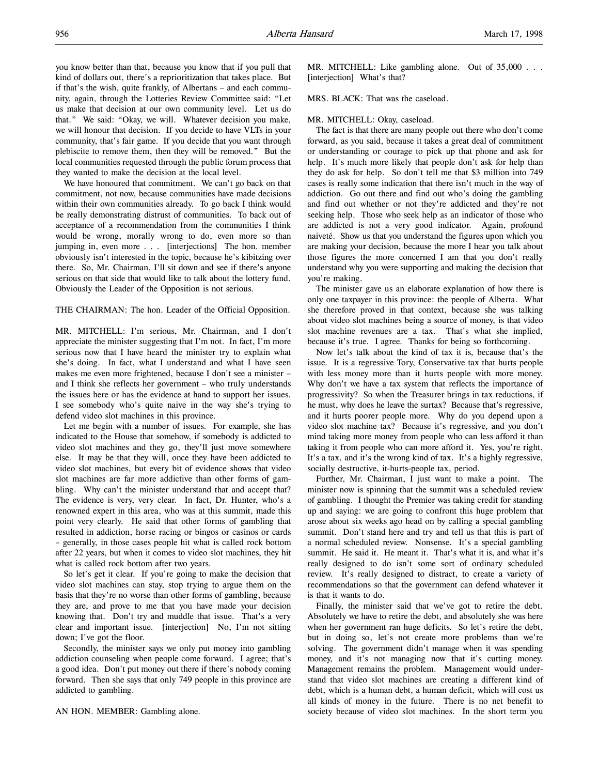you know better than that, because you know that if you pull that kind of dollars out, there's a reprioritization that takes place. But if that's the wish, quite frankly, of Albertans – and each community, again, through the Lotteries Review Committee said: "Let us make that decision at our own community level. Let us do that." We said: "Okay, we will. Whatever decision you make, we will honour that decision. If you decide to have VLTs in your community, that's fair game. If you decide that you want through plebiscite to remove them, then they will be removed." But the local communities requested through the public forum process that they wanted to make the decision at the local level.

We have honoured that commitment. We can't go back on that commitment, not now, because communities have made decisions within their own communities already. To go back I think would be really demonstrating distrust of communities. To back out of acceptance of a recommendation from the communities I think would be wrong, morally wrong to do, even more so than jumping in, even more . . . [interjections] The hon. member obviously isn't interested in the topic, because he's kibitzing over there. So, Mr. Chairman, I'll sit down and see if there's anyone serious on that side that would like to talk about the lottery fund. Obviously the Leader of the Opposition is not serious.

# THE CHAIRMAN: The hon. Leader of the Official Opposition.

MR. MITCHELL: I'm serious, Mr. Chairman, and I don't appreciate the minister suggesting that I'm not. In fact, I'm more serious now that I have heard the minister try to explain what she's doing. In fact, what I understand and what I have seen makes me even more frightened, because I don't see a minister – and I think she reflects her government – who truly understands the issues here or has the evidence at hand to support her issues. I see somebody who's quite naive in the way she's trying to defend video slot machines in this province.

Let me begin with a number of issues. For example, she has indicated to the House that somehow, if somebody is addicted to video slot machines and they go, they'll just move somewhere else. It may be that they will, once they have been addicted to video slot machines, but every bit of evidence shows that video slot machines are far more addictive than other forms of gambling. Why can't the minister understand that and accept that? The evidence is very, very clear. In fact, Dr. Hunter, who's a renowned expert in this area, who was at this summit, made this point very clearly. He said that other forms of gambling that resulted in addiction, horse racing or bingos or casinos or cards – generally, in those cases people hit what is called rock bottom after 22 years, but when it comes to video slot machines, they hit what is called rock bottom after two years.

So let's get it clear. If you're going to make the decision that video slot machines can stay, stop trying to argue them on the basis that they're no worse than other forms of gambling, because they are, and prove to me that you have made your decision knowing that. Don't try and muddle that issue. That's a very clear and important issue. [interjection] No, I'm not sitting down; I've got the floor.

Secondly, the minister says we only put money into gambling addiction counseling when people come forward. I agree; that's a good idea. Don't put money out there if there's nobody coming forward. Then she says that only 749 people in this province are addicted to gambling.

#### AN HON. MEMBER: Gambling alone.

MR. MITCHELL: Like gambling alone. Out of 35,000 . . . [interjection] What's that?

MRS. BLACK: That was the caseload.

### MR. MITCHELL: Okay, caseload.

The fact is that there are many people out there who don't come forward, as you said, because it takes a great deal of commitment or understanding or courage to pick up that phone and ask for help. It's much more likely that people don't ask for help than they do ask for help. So don't tell me that \$3 million into 749 cases is really some indication that there isn't much in the way of addiction. Go out there and find out who's doing the gambling and find out whether or not they're addicted and they're not seeking help. Those who seek help as an indicator of those who are addicted is not a very good indicator. Again, profound naiveté. Show us that you understand the figures upon which you are making your decision, because the more I hear you talk about those figures the more concerned I am that you don't really understand why you were supporting and making the decision that you're making.

The minister gave us an elaborate explanation of how there is only one taxpayer in this province: the people of Alberta. What she therefore proved in that context, because she was talking about video slot machines being a source of money, is that video slot machine revenues are a tax. That's what she implied, because it's true. I agree. Thanks for being so forthcoming.

Now let's talk about the kind of tax it is, because that's the issue. It is a regressive Tory, Conservative tax that hurts people with less money more than it hurts people with more money. Why don't we have a tax system that reflects the importance of progressivity? So when the Treasurer brings in tax reductions, if he must, why does he leave the surtax? Because that's regressive, and it hurts poorer people more. Why do you depend upon a video slot machine tax? Because it's regressive, and you don't mind taking more money from people who can less afford it than taking it from people who can more afford it. Yes, you're right. It's a tax, and it's the wrong kind of tax. It's a highly regressive, socially destructive, it-hurts-people tax, period.

Further, Mr. Chairman, I just want to make a point. The minister now is spinning that the summit was a scheduled review of gambling. I thought the Premier was taking credit for standing up and saying: we are going to confront this huge problem that arose about six weeks ago head on by calling a special gambling summit. Don't stand here and try and tell us that this is part of a normal scheduled review. Nonsense. It's a special gambling summit. He said it. He meant it. That's what it is, and what it's really designed to do isn't some sort of ordinary scheduled review. It's really designed to distract, to create a variety of recommendations so that the government can defend whatever it is that it wants to do.

Finally, the minister said that we've got to retire the debt. Absolutely we have to retire the debt, and absolutely she was here when her government ran huge deficits. So let's retire the debt, but in doing so, let's not create more problems than we're solving. The government didn't manage when it was spending money, and it's not managing now that it's cutting money. Management remains the problem. Management would understand that video slot machines are creating a different kind of debt, which is a human debt, a human deficit, which will cost us all kinds of money in the future. There is no net benefit to society because of video slot machines. In the short term you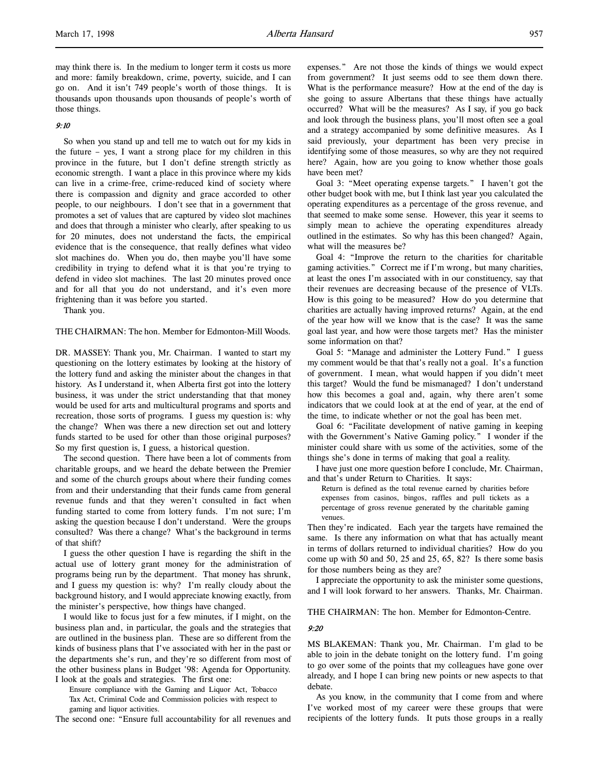### 9:10

So when you stand up and tell me to watch out for my kids in the future – yes, I want a strong place for my children in this province in the future, but I don't define strength strictly as economic strength. I want a place in this province where my kids can live in a crime-free, crime-reduced kind of society where there is compassion and dignity and grace accorded to other people, to our neighbours. I don't see that in a government that promotes a set of values that are captured by video slot machines and does that through a minister who clearly, after speaking to us for 20 minutes, does not understand the facts, the empirical evidence that is the consequence, that really defines what video slot machines do. When you do, then maybe you'll have some credibility in trying to defend what it is that you're trying to defend in video slot machines. The last 20 minutes proved once and for all that you do not understand, and it's even more frightening than it was before you started.

Thank you.

#### THE CHAIRMAN: The hon. Member for Edmonton-Mill Woods.

DR. MASSEY: Thank you, Mr. Chairman. I wanted to start my questioning on the lottery estimates by looking at the history of the lottery fund and asking the minister about the changes in that history. As I understand it, when Alberta first got into the lottery business, it was under the strict understanding that that money would be used for arts and multicultural programs and sports and recreation, those sorts of programs. I guess my question is: why the change? When was there a new direction set out and lottery funds started to be used for other than those original purposes? So my first question is, I guess, a historical question.

The second question. There have been a lot of comments from charitable groups, and we heard the debate between the Premier and some of the church groups about where their funding comes from and their understanding that their funds came from general revenue funds and that they weren't consulted in fact when funding started to come from lottery funds. I'm not sure; I'm asking the question because I don't understand. Were the groups consulted? Was there a change? What's the background in terms of that shift?

I guess the other question I have is regarding the shift in the actual use of lottery grant money for the administration of programs being run by the department. That money has shrunk, and I guess my question is: why? I'm really cloudy about the background history, and I would appreciate knowing exactly, from the minister's perspective, how things have changed.

I would like to focus just for a few minutes, if I might, on the business plan and, in particular, the goals and the strategies that are outlined in the business plan. These are so different from the kinds of business plans that I've associated with her in the past or the departments she's run, and they're so different from most of the other business plans in Budget '98: Agenda for Opportunity. I look at the goals and strategies. The first one:

Ensure compliance with the Gaming and Liquor Act, Tobacco Tax Act, Criminal Code and Commission policies with respect to gaming and liquor activities.

The second one: "Ensure full accountability for all revenues and

expenses." Are not those the kinds of things we would expect from government? It just seems odd to see them down there. What is the performance measure? How at the end of the day is she going to assure Albertans that these things have actually occurred? What will be the measures? As I say, if you go back and look through the business plans, you'll most often see a goal and a strategy accompanied by some definitive measures. As I said previously, your department has been very precise in identifying some of those measures, so why are they not required here? Again, how are you going to know whether those goals have been met?

Goal 3: "Meet operating expense targets." I haven't got the other budget book with me, but I think last year you calculated the operating expenditures as a percentage of the gross revenue, and that seemed to make some sense. However, this year it seems to simply mean to achieve the operating expenditures already outlined in the estimates. So why has this been changed? Again, what will the measures be?

Goal 4: "Improve the return to the charities for charitable gaming activities." Correct me if I'm wrong, but many charities, at least the ones I'm associated with in our constituency, say that their revenues are decreasing because of the presence of VLTs. How is this going to be measured? How do you determine that charities are actually having improved returns? Again, at the end of the year how will we know that is the case? It was the same goal last year, and how were those targets met? Has the minister some information on that?

Goal 5: "Manage and administer the Lottery Fund." I guess my comment would be that that's really not a goal. It's a function of government. I mean, what would happen if you didn't meet this target? Would the fund be mismanaged? I don't understand how this becomes a goal and, again, why there aren't some indicators that we could look at at the end of year, at the end of the time, to indicate whether or not the goal has been met.

Goal 6: "Facilitate development of native gaming in keeping with the Government's Native Gaming policy." I wonder if the minister could share with us some of the activities, some of the things she's done in terms of making that goal a reality.

I have just one more question before I conclude, Mr. Chairman, and that's under Return to Charities. It says:

Return is defined as the total revenue earned by charities before expenses from casinos, bingos, raffles and pull tickets as a percentage of gross revenue generated by the charitable gaming venues.

Then they're indicated. Each year the targets have remained the same. Is there any information on what that has actually meant in terms of dollars returned to individual charities? How do you come up with 50 and 50, 25 and 25, 65, 82? Is there some basis for those numbers being as they are?

I appreciate the opportunity to ask the minister some questions, and I will look forward to her answers. Thanks, Mr. Chairman.

THE CHAIRMAN: The hon. Member for Edmonton-Centre.

9:20

MS BLAKEMAN: Thank you, Mr. Chairman. I'm glad to be able to join in the debate tonight on the lottery fund. I'm going to go over some of the points that my colleagues have gone over already, and I hope I can bring new points or new aspects to that debate.

As you know, in the community that I come from and where I've worked most of my career were these groups that were recipients of the lottery funds. It puts those groups in a really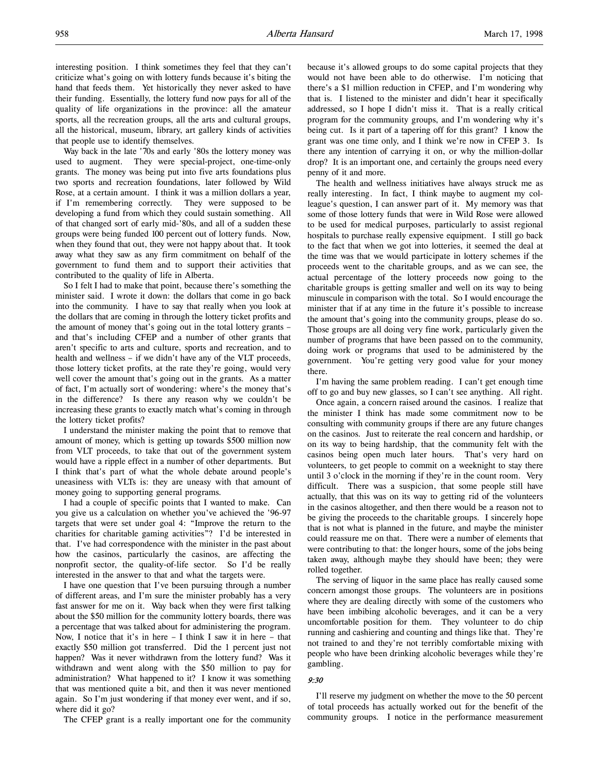interesting position. I think sometimes they feel that they can't criticize what's going on with lottery funds because it's biting the hand that feeds them. Yet historically they never asked to have their funding. Essentially, the lottery fund now pays for all of the quality of life organizations in the province: all the amateur sports, all the recreation groups, all the arts and cultural groups, all the historical, museum, library, art gallery kinds of activities that people use to identify themselves.

Way back in the late '70s and early '80s the lottery money was used to augment. They were special-project, one-time-only grants. The money was being put into five arts foundations plus two sports and recreation foundations, later followed by Wild Rose, at a certain amount. I think it was a million dollars a year, if I'm remembering correctly. They were supposed to be developing a fund from which they could sustain something. All of that changed sort of early mid-'80s, and all of a sudden these groups were being funded 100 percent out of lottery funds. Now, when they found that out, they were not happy about that. It took away what they saw as any firm commitment on behalf of the government to fund them and to support their activities that contributed to the quality of life in Alberta.

So I felt I had to make that point, because there's something the minister said. I wrote it down: the dollars that come in go back into the community. I have to say that really when you look at the dollars that are coming in through the lottery ticket profits and the amount of money that's going out in the total lottery grants – and that's including CFEP and a number of other grants that aren't specific to arts and culture, sports and recreation, and to health and wellness – if we didn't have any of the VLT proceeds, those lottery ticket profits, at the rate they're going, would very well cover the amount that's going out in the grants. As a matter of fact, I'm actually sort of wondering: where's the money that's in the difference? Is there any reason why we couldn't be increasing these grants to exactly match what's coming in through the lottery ticket profits?

I understand the minister making the point that to remove that amount of money, which is getting up towards \$500 million now from VLT proceeds, to take that out of the government system would have a ripple effect in a number of other departments. But I think that's part of what the whole debate around people's uneasiness with VLTs is: they are uneasy with that amount of money going to supporting general programs.

I had a couple of specific points that I wanted to make. Can you give us a calculation on whether you've achieved the '96-97 targets that were set under goal 4: "Improve the return to the charities for charitable gaming activities"? I'd be interested in that. I've had correspondence with the minister in the past about how the casinos, particularly the casinos, are affecting the nonprofit sector, the quality-of-life sector. So I'd be really interested in the answer to that and what the targets were.

I have one question that I've been pursuing through a number of different areas, and I'm sure the minister probably has a very fast answer for me on it. Way back when they were first talking about the \$50 million for the community lottery boards, there was a percentage that was talked about for administering the program. Now, I notice that it's in here – I think I saw it in here – that exactly \$50 million got transferred. Did the 1 percent just not happen? Was it never withdrawn from the lottery fund? Was it withdrawn and went along with the \$50 million to pay for administration? What happened to it? I know it was something that was mentioned quite a bit, and then it was never mentioned again. So I'm just wondering if that money ever went, and if so, where did it go?

The CFEP grant is a really important one for the community

because it's allowed groups to do some capital projects that they would not have been able to do otherwise. I'm noticing that there's a \$1 million reduction in CFEP, and I'm wondering why that is. I listened to the minister and didn't hear it specifically addressed, so I hope I didn't miss it. That is a really critical program for the community groups, and I'm wondering why it's being cut. Is it part of a tapering off for this grant? I know the grant was one time only, and I think we're now in CFEP 3. Is there any intention of carrying it on, or why the million-dollar drop? It is an important one, and certainly the groups need every penny of it and more.

The health and wellness initiatives have always struck me as really interesting. In fact, I think maybe to augment my colleague's question, I can answer part of it. My memory was that some of those lottery funds that were in Wild Rose were allowed to be used for medical purposes, particularly to assist regional hospitals to purchase really expensive equipment. I still go back to the fact that when we got into lotteries, it seemed the deal at the time was that we would participate in lottery schemes if the proceeds went to the charitable groups, and as we can see, the actual percentage of the lottery proceeds now going to the charitable groups is getting smaller and well on its way to being minuscule in comparison with the total. So I would encourage the minister that if at any time in the future it's possible to increase the amount that's going into the community groups, please do so. Those groups are all doing very fine work, particularly given the number of programs that have been passed on to the community, doing work or programs that used to be administered by the government. You're getting very good value for your money there.

I'm having the same problem reading. I can't get enough time off to go and buy new glasses, so I can't see anything. All right.

Once again, a concern raised around the casinos. I realize that the minister I think has made some commitment now to be consulting with community groups if there are any future changes on the casinos. Just to reiterate the real concern and hardship, or on its way to being hardship, that the community felt with the casinos being open much later hours. That's very hard on volunteers, to get people to commit on a weeknight to stay there until 3 o'clock in the morning if they're in the count room. Very difficult. There was a suspicion, that some people still have actually, that this was on its way to getting rid of the volunteers in the casinos altogether, and then there would be a reason not to be giving the proceeds to the charitable groups. I sincerely hope that is not what is planned in the future, and maybe the minister could reassure me on that. There were a number of elements that were contributing to that: the longer hours, some of the jobs being taken away, although maybe they should have been; they were rolled together.

The serving of liquor in the same place has really caused some concern amongst those groups. The volunteers are in positions where they are dealing directly with some of the customers who have been imbibing alcoholic beverages, and it can be a very uncomfortable position for them. They volunteer to do chip running and cashiering and counting and things like that. They're not trained to and they're not terribly comfortable mixing with people who have been drinking alcoholic beverages while they're gambling.

#### 9:30

I'll reserve my judgment on whether the move to the 50 percent of total proceeds has actually worked out for the benefit of the community groups. I notice in the performance measurement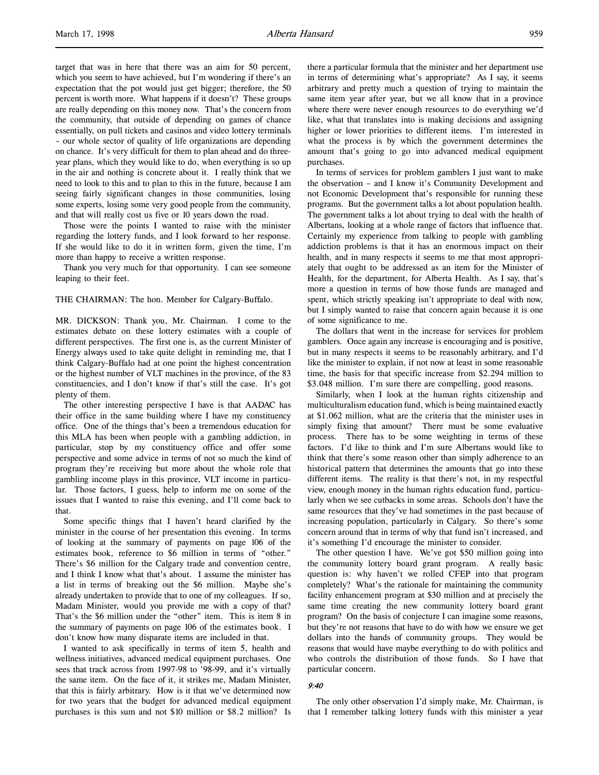target that was in here that there was an aim for 50 percent, which you seem to have achieved, but I'm wondering if there's an expectation that the pot would just get bigger; therefore, the 50 percent is worth more. What happens if it doesn't? These groups are really depending on this money now. That's the concern from the community, that outside of depending on games of chance essentially, on pull tickets and casinos and video lottery terminals – our whole sector of quality of life organizations are depending on chance. It's very difficult for them to plan ahead and do threeyear plans, which they would like to do, when everything is so up in the air and nothing is concrete about it. I really think that we need to look to this and to plan to this in the future, because I am seeing fairly significant changes in those communities, losing some experts, losing some very good people from the community, and that will really cost us five or 10 years down the road.

Those were the points I wanted to raise with the minister regarding the lottery funds, and I look forward to her response. If she would like to do it in written form, given the time, I'm more than happy to receive a written response.

Thank you very much for that opportunity. I can see someone leaping to their feet.

#### THE CHAIRMAN: The hon. Member for Calgary-Buffalo.

MR. DICKSON: Thank you, Mr. Chairman. I come to the estimates debate on these lottery estimates with a couple of different perspectives. The first one is, as the current Minister of Energy always used to take quite delight in reminding me, that I think Calgary-Buffalo had at one point the highest concentration or the highest number of VLT machines in the province, of the 83 constituencies, and I don't know if that's still the case. It's got plenty of them.

The other interesting perspective I have is that AADAC has their office in the same building where I have my constituency office. One of the things that's been a tremendous education for this MLA has been when people with a gambling addiction, in particular, stop by my constituency office and offer some perspective and some advice in terms of not so much the kind of program they're receiving but more about the whole role that gambling income plays in this province, VLT income in particular. Those factors, I guess, help to inform me on some of the issues that I wanted to raise this evening, and I'll come back to that.

Some specific things that I haven't heard clarified by the minister in the course of her presentation this evening. In terms of looking at the summary of payments on page 106 of the estimates book, reference to \$6 million in terms of "other." There's \$6 million for the Calgary trade and convention centre, and I think I know what that's about. I assume the minister has a list in terms of breaking out the \$6 million. Maybe she's already undertaken to provide that to one of my colleagues. If so, Madam Minister, would you provide me with a copy of that? That's the \$6 million under the "other" item. This is item 8 in the summary of payments on page 106 of the estimates book. I don't know how many disparate items are included in that.

I wanted to ask specifically in terms of item 5, health and wellness initiatives, advanced medical equipment purchases. One sees that track across from 1997-98 to '98-99, and it's virtually the same item. On the face of it, it strikes me, Madam Minister, that this is fairly arbitrary. How is it that we've determined now for two years that the budget for advanced medical equipment purchases is this sum and not \$10 million or \$8.2 million? Is

there a particular formula that the minister and her department use in terms of determining what's appropriate? As I say, it seems arbitrary and pretty much a question of trying to maintain the same item year after year, but we all know that in a province where there were never enough resources to do everything we'd like, what that translates into is making decisions and assigning higher or lower priorities to different items. I'm interested in what the process is by which the government determines the amount that's going to go into advanced medical equipment purchases.

In terms of services for problem gamblers I just want to make the observation – and I know it's Community Development and not Economic Development that's responsible for running these programs. But the government talks a lot about population health. The government talks a lot about trying to deal with the health of Albertans, looking at a whole range of factors that influence that. Certainly my experience from talking to people with gambling addiction problems is that it has an enormous impact on their health, and in many respects it seems to me that most appropriately that ought to be addressed as an item for the Minister of Health, for the department, for Alberta Health. As I say, that's more a question in terms of how those funds are managed and spent, which strictly speaking isn't appropriate to deal with now, but I simply wanted to raise that concern again because it is one of some significance to me.

The dollars that went in the increase for services for problem gamblers. Once again any increase is encouraging and is positive, but in many respects it seems to be reasonably arbitrary, and I'd like the minister to explain, if not now at least in some reasonable time, the basis for that specific increase from \$2.294 million to \$3.048 million. I'm sure there are compelling, good reasons.

Similarly, when I look at the human rights citizenship and multiculturalism education fund, which is being maintained exactly at \$1.062 million, what are the criteria that the minister uses in simply fixing that amount? There must be some evaluative process. There has to be some weighting in terms of these factors. I'd like to think and I'm sure Albertans would like to think that there's some reason other than simply adherence to an historical pattern that determines the amounts that go into these different items. The reality is that there's not, in my respectful view, enough money in the human rights education fund, particularly when we see cutbacks in some areas. Schools don't have the same resources that they've had sometimes in the past because of increasing population, particularly in Calgary. So there's some concern around that in terms of why that fund isn't increased, and it's something I'd encourage the minister to consider.

The other question I have. We've got \$50 million going into the community lottery board grant program. A really basic question is: why haven't we rolled CFEP into that program completely? What's the rationale for maintaining the community facility enhancement program at \$30 million and at precisely the same time creating the new community lottery board grant program? On the basis of conjecture I can imagine some reasons, but they're not reasons that have to do with how we ensure we get dollars into the hands of community groups. They would be reasons that would have maybe everything to do with politics and who controls the distribution of those funds. So I have that particular concern.

#### 9:40

The only other observation I'd simply make, Mr. Chairman, is that I remember talking lottery funds with this minister a year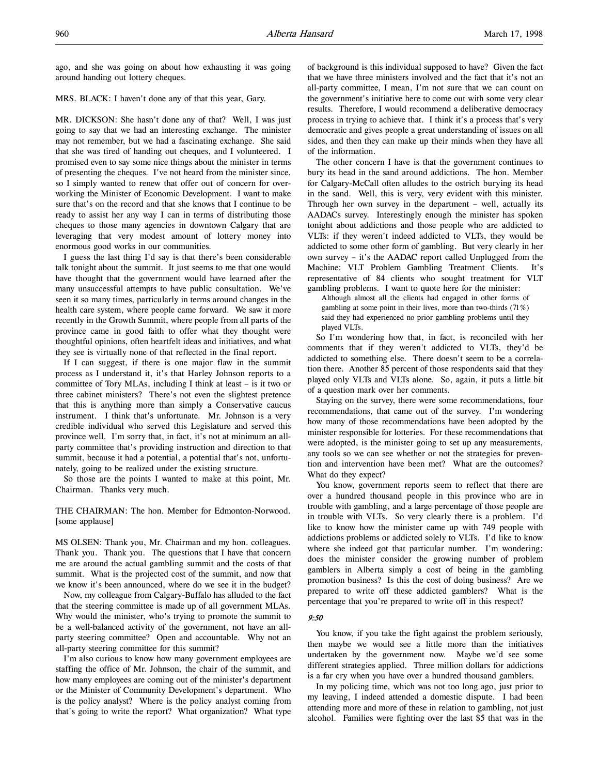ago, and she was going on about how exhausting it was going around handing out lottery cheques.

### MRS. BLACK: I haven't done any of that this year, Gary.

MR. DICKSON: She hasn't done any of that? Well, I was just going to say that we had an interesting exchange. The minister may not remember, but we had a fascinating exchange. She said that she was tired of handing out cheques, and I volunteered. I promised even to say some nice things about the minister in terms of presenting the cheques. I've not heard from the minister since, so I simply wanted to renew that offer out of concern for overworking the Minister of Economic Development. I want to make sure that's on the record and that she knows that I continue to be ready to assist her any way I can in terms of distributing those cheques to those many agencies in downtown Calgary that are leveraging that very modest amount of lottery money into enormous good works in our communities.

I guess the last thing I'd say is that there's been considerable talk tonight about the summit. It just seems to me that one would have thought that the government would have learned after the many unsuccessful attempts to have public consultation. We've seen it so many times, particularly in terms around changes in the health care system, where people came forward. We saw it more recently in the Growth Summit, where people from all parts of the province came in good faith to offer what they thought were thoughtful opinions, often heartfelt ideas and initiatives, and what they see is virtually none of that reflected in the final report.

If I can suggest, if there is one major flaw in the summit process as I understand it, it's that Harley Johnson reports to a committee of Tory MLAs, including I think at least – is it two or three cabinet ministers? There's not even the slightest pretence that this is anything more than simply a Conservative caucus instrument. I think that's unfortunate. Mr. Johnson is a very credible individual who served this Legislature and served this province well. I'm sorry that, in fact, it's not at minimum an allparty committee that's providing instruction and direction to that summit, because it had a potential, a potential that's not, unfortunately, going to be realized under the existing structure.

So those are the points I wanted to make at this point, Mr. Chairman. Thanks very much.

THE CHAIRMAN: The hon. Member for Edmonton-Norwood. [some applause]

MS OLSEN: Thank you, Mr. Chairman and my hon. colleagues. Thank you. Thank you. The questions that I have that concern me are around the actual gambling summit and the costs of that summit. What is the projected cost of the summit, and now that we know it's been announced, where do we see it in the budget?

Now, my colleague from Calgary-Buffalo has alluded to the fact that the steering committee is made up of all government MLAs. Why would the minister, who's trying to promote the summit to be a well-balanced activity of the government, not have an allparty steering committee? Open and accountable. Why not an all-party steering committee for this summit?

I'm also curious to know how many government employees are staffing the office of Mr. Johnson, the chair of the summit, and how many employees are coming out of the minister's department or the Minister of Community Development's department. Who is the policy analyst? Where is the policy analyst coming from that's going to write the report? What organization? What type

of background is this individual supposed to have? Given the fact that we have three ministers involved and the fact that it's not an all-party committee, I mean, I'm not sure that we can count on the government's initiative here to come out with some very clear results. Therefore, I would recommend a deliberative democracy process in trying to achieve that. I think it's a process that's very democratic and gives people a great understanding of issues on all sides, and then they can make up their minds when they have all of the information.

The other concern I have is that the government continues to bury its head in the sand around addictions. The hon. Member for Calgary-McCall often alludes to the ostrich burying its head in the sand. Well, this is very, very evident with this minister. Through her own survey in the department – well, actually its AADACs survey. Interestingly enough the minister has spoken tonight about addictions and those people who are addicted to VLTs: if they weren't indeed addicted to VLTs, they would be addicted to some other form of gambling. But very clearly in her own survey – it's the AADAC report called Unplugged from the Machine: VLT Problem Gambling Treatment Clients. It's representative of 84 clients who sought treatment for VLT gambling problems. I want to quote here for the minister:

Although almost all the clients had engaged in other forms of gambling at some point in their lives, more than two-thirds (71%) said they had experienced no prior gambling problems until they played VLTs.

So I'm wondering how that, in fact, is reconciled with her comments that if they weren't addicted to VLTs, they'd be addicted to something else. There doesn't seem to be a correlation there. Another 85 percent of those respondents said that they played only VLTs and VLTs alone. So, again, it puts a little bit of a question mark over her comments.

Staying on the survey, there were some recommendations, four recommendations, that came out of the survey. I'm wondering how many of those recommendations have been adopted by the minister responsible for lotteries. For these recommendations that were adopted, is the minister going to set up any measurements, any tools so we can see whether or not the strategies for prevention and intervention have been met? What are the outcomes? What do they expect?

You know, government reports seem to reflect that there are over a hundred thousand people in this province who are in trouble with gambling, and a large percentage of those people are in trouble with VLTs. So very clearly there is a problem. I'd like to know how the minister came up with 749 people with addictions problems or addicted solely to VLTs. I'd like to know where she indeed got that particular number. I'm wondering: does the minister consider the growing number of problem gamblers in Alberta simply a cost of being in the gambling promotion business? Is this the cost of doing business? Are we prepared to write off these addicted gamblers? What is the percentage that you're prepared to write off in this respect?

#### 9:50

You know, if you take the fight against the problem seriously, then maybe we would see a little more than the initiatives undertaken by the government now. Maybe we'd see some different strategies applied. Three million dollars for addictions is a far cry when you have over a hundred thousand gamblers.

In my policing time, which was not too long ago, just prior to my leaving, I indeed attended a domestic dispute. I had been attending more and more of these in relation to gambling, not just alcohol. Families were fighting over the last \$5 that was in the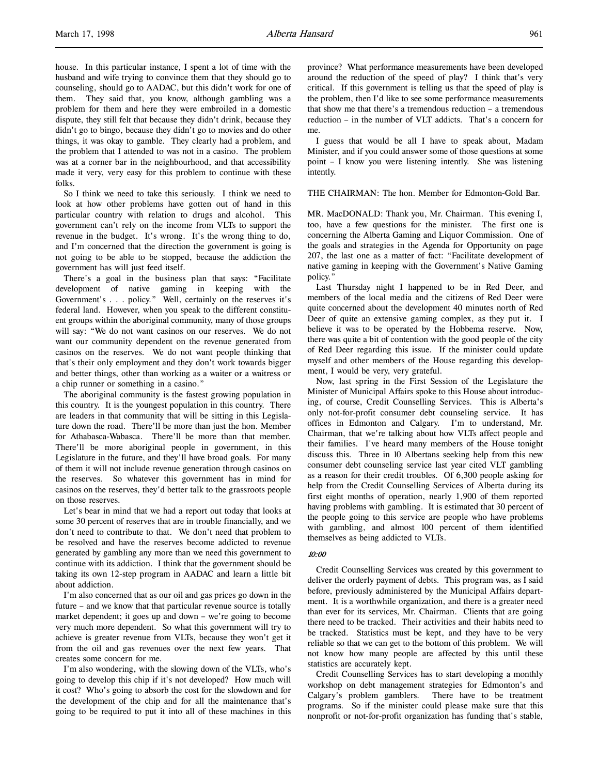house. In this particular instance, I spent a lot of time with the husband and wife trying to convince them that they should go to counseling, should go to AADAC, but this didn't work for one of them. They said that, you know, although gambling was a problem for them and here they were embroiled in a domestic dispute, they still felt that because they didn't drink, because they didn't go to bingo, because they didn't go to movies and do other things, it was okay to gamble. They clearly had a problem, and the problem that I attended to was not in a casino. The problem was at a corner bar in the neighbourhood, and that accessibility made it very, very easy for this problem to continue with these folks.

So I think we need to take this seriously. I think we need to look at how other problems have gotten out of hand in this particular country with relation to drugs and alcohol. This government can't rely on the income from VLTs to support the revenue in the budget. It's wrong. It's the wrong thing to do, and I'm concerned that the direction the government is going is not going to be able to be stopped, because the addiction the government has will just feed itself.

There's a goal in the business plan that says: "Facilitate development of native gaming in keeping with the Government's . . . policy." Well, certainly on the reserves it's federal land. However, when you speak to the different constituent groups within the aboriginal community, many of those groups will say: "We do not want casinos on our reserves. We do not want our community dependent on the revenue generated from casinos on the reserves. We do not want people thinking that that's their only employment and they don't work towards bigger and better things, other than working as a waiter or a waitress or a chip runner or something in a casino."

The aboriginal community is the fastest growing population in this country. It is the youngest population in this country. There are leaders in that community that will be sitting in this Legislature down the road. There'll be more than just the hon. Member for Athabasca-Wabasca. There'll be more than that member. There'll be more aboriginal people in government, in this Legislature in the future, and they'll have broad goals. For many of them it will not include revenue generation through casinos on the reserves. So whatever this government has in mind for casinos on the reserves, they'd better talk to the grassroots people on those reserves.

Let's bear in mind that we had a report out today that looks at some 30 percent of reserves that are in trouble financially, and we don't need to contribute to that. We don't need that problem to be resolved and have the reserves become addicted to revenue generated by gambling any more than we need this government to continue with its addiction. I think that the government should be taking its own 12-step program in AADAC and learn a little bit about addiction.

I'm also concerned that as our oil and gas prices go down in the future – and we know that that particular revenue source is totally market dependent; it goes up and down – we're going to become very much more dependent. So what this government will try to achieve is greater revenue from VLTs, because they won't get it from the oil and gas revenues over the next few years. That creates some concern for me.

I'm also wondering, with the slowing down of the VLTs, who's going to develop this chip if it's not developed? How much will it cost? Who's going to absorb the cost for the slowdown and for the development of the chip and for all the maintenance that's going to be required to put it into all of these machines in this province? What performance measurements have been developed around the reduction of the speed of play? I think that's very critical. If this government is telling us that the speed of play is the problem, then I'd like to see some performance measurements that show me that there's a tremendous reduction – a tremendous reduction – in the number of VLT addicts. That's a concern for me.

I guess that would be all I have to speak about, Madam Minister, and if you could answer some of those questions at some point – I know you were listening intently. She was listening intently.

#### THE CHAIRMAN: The hon. Member for Edmonton-Gold Bar.

MR. MacDONALD: Thank you, Mr. Chairman. This evening I, too, have a few questions for the minister. The first one is concerning the Alberta Gaming and Liquor Commission. One of the goals and strategies in the Agenda for Opportunity on page 207, the last one as a matter of fact: "Facilitate development of native gaming in keeping with the Government's Native Gaming policy."

Last Thursday night I happened to be in Red Deer, and members of the local media and the citizens of Red Deer were quite concerned about the development 40 minutes north of Red Deer of quite an extensive gaming complex, as they put it. I believe it was to be operated by the Hobbema reserve. Now, there was quite a bit of contention with the good people of the city of Red Deer regarding this issue. If the minister could update myself and other members of the House regarding this development, I would be very, very grateful.

Now, last spring in the First Session of the Legislature the Minister of Municipal Affairs spoke to this House about introducing, of course, Credit Counselling Services. This is Alberta's only not-for-profit consumer debt counseling service. It has offices in Edmonton and Calgary. I'm to understand, Mr. Chairman, that we're talking about how VLTs affect people and their families. I've heard many members of the House tonight discuss this. Three in 10 Albertans seeking help from this new consumer debt counseling service last year cited VLT gambling as a reason for their credit troubles. Of 6,300 people asking for help from the Credit Counselling Services of Alberta during its first eight months of operation, nearly 1,900 of them reported having problems with gambling. It is estimated that 30 percent of the people going to this service are people who have problems with gambling, and almost 100 percent of them identified themselves as being addicted to VLTs.

#### 10:00

Credit Counselling Services was created by this government to deliver the orderly payment of debts. This program was, as I said before, previously administered by the Municipal Affairs department. It is a worthwhile organization, and there is a greater need than ever for its services, Mr. Chairman. Clients that are going there need to be tracked. Their activities and their habits need to be tracked. Statistics must be kept, and they have to be very reliable so that we can get to the bottom of this problem. We will not know how many people are affected by this until these statistics are accurately kept.

Credit Counselling Services has to start developing a monthly workshop on debt management strategies for Edmonton's and Calgary's problem gamblers. There have to be treatment programs. So if the minister could please make sure that this nonprofit or not-for-profit organization has funding that's stable,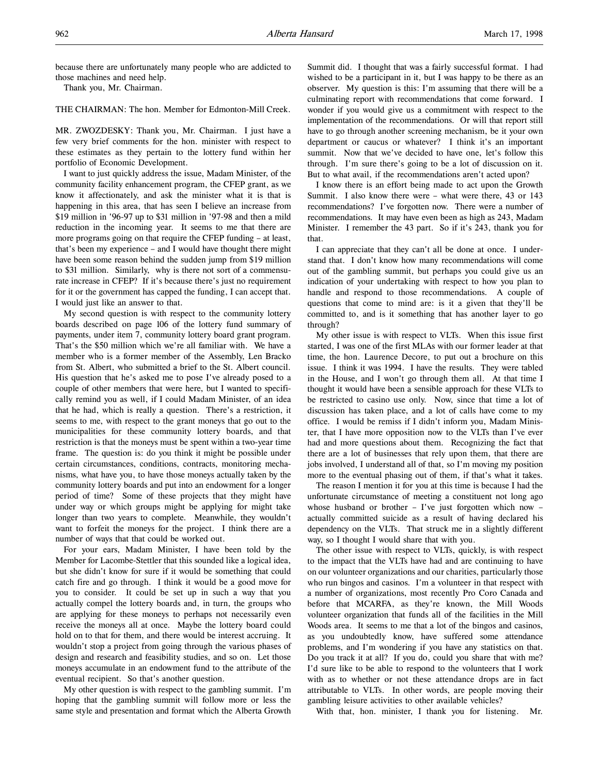because there are unfortunately many people who are addicted to those machines and need help.

Thank you, Mr. Chairman.

THE CHAIRMAN: The hon. Member for Edmonton-Mill Creek.

MR. ZWOZDESKY: Thank you, Mr. Chairman. I just have a few very brief comments for the hon. minister with respect to these estimates as they pertain to the lottery fund within her portfolio of Economic Development.

I want to just quickly address the issue, Madam Minister, of the community facility enhancement program, the CFEP grant, as we know it affectionately, and ask the minister what it is that is happening in this area, that has seen I believe an increase from \$19 million in '96-97 up to \$31 million in '97-98 and then a mild reduction in the incoming year. It seems to me that there are more programs going on that require the CFEP funding – at least, that's been my experience – and I would have thought there might have been some reason behind the sudden jump from \$19 million to \$31 million. Similarly, why is there not sort of a commensurate increase in CFEP? If it's because there's just no requirement for it or the government has capped the funding, I can accept that. I would just like an answer to that.

My second question is with respect to the community lottery boards described on page 106 of the lottery fund summary of payments, under item 7, community lottery board grant program. That's the \$50 million which we're all familiar with. We have a member who is a former member of the Assembly, Len Bracko from St. Albert, who submitted a brief to the St. Albert council. His question that he's asked me to pose I've already posed to a couple of other members that were here, but I wanted to specifically remind you as well, if I could Madam Minister, of an idea that he had, which is really a question. There's a restriction, it seems to me, with respect to the grant moneys that go out to the municipalities for these community lottery boards, and that restriction is that the moneys must be spent within a two-year time frame. The question is: do you think it might be possible under certain circumstances, conditions, contracts, monitoring mechanisms, what have you, to have those moneys actually taken by the community lottery boards and put into an endowment for a longer period of time? Some of these projects that they might have under way or which groups might be applying for might take longer than two years to complete. Meanwhile, they wouldn't want to forfeit the moneys for the project. I think there are a number of ways that that could be worked out.

For your ears, Madam Minister, I have been told by the Member for Lacombe-Stettler that this sounded like a logical idea, but she didn't know for sure if it would be something that could catch fire and go through. I think it would be a good move for you to consider. It could be set up in such a way that you actually compel the lottery boards and, in turn, the groups who are applying for these moneys to perhaps not necessarily even receive the moneys all at once. Maybe the lottery board could hold on to that for them, and there would be interest accruing. It wouldn't stop a project from going through the various phases of design and research and feasibility studies, and so on. Let those moneys accumulate in an endowment fund to the attribute of the eventual recipient. So that's another question.

My other question is with respect to the gambling summit. I'm hoping that the gambling summit will follow more or less the same style and presentation and format which the Alberta Growth

Summit did. I thought that was a fairly successful format. I had wished to be a participant in it, but I was happy to be there as an observer. My question is this: I'm assuming that there will be a culminating report with recommendations that come forward. I wonder if you would give us a commitment with respect to the implementation of the recommendations. Or will that report still have to go through another screening mechanism, be it your own department or caucus or whatever? I think it's an important summit. Now that we've decided to have one, let's follow this through. I'm sure there's going to be a lot of discussion on it. But to what avail, if the recommendations aren't acted upon?

I know there is an effort being made to act upon the Growth Summit. I also know there were – what were there, 43 or 143 recommendations? I've forgotten now. There were a number of recommendations. It may have even been as high as 243, Madam Minister. I remember the 43 part. So if it's 243, thank you for that.

I can appreciate that they can't all be done at once. I understand that. I don't know how many recommendations will come out of the gambling summit, but perhaps you could give us an indication of your undertaking with respect to how you plan to handle and respond to those recommendations. A couple of questions that come to mind are: is it a given that they'll be committed to, and is it something that has another layer to go through?

My other issue is with respect to VLTs. When this issue first started, I was one of the first MLAs with our former leader at that time, the hon. Laurence Decore, to put out a brochure on this issue. I think it was 1994. I have the results. They were tabled in the House, and I won't go through them all. At that time I thought it would have been a sensible approach for these VLTs to be restricted to casino use only. Now, since that time a lot of discussion has taken place, and a lot of calls have come to my office. I would be remiss if I didn't inform you, Madam Minister, that I have more opposition now to the VLTs than I've ever had and more questions about them. Recognizing the fact that there are a lot of businesses that rely upon them, that there are jobs involved, I understand all of that, so I'm moving my position more to the eventual phasing out of them, if that's what it takes.

The reason I mention it for you at this time is because I had the unfortunate circumstance of meeting a constituent not long ago whose husband or brother – I've just forgotten which now – actually committed suicide as a result of having declared his dependency on the VLTs. That struck me in a slightly different way, so I thought I would share that with you.

The other issue with respect to VLTs, quickly, is with respect to the impact that the VLTs have had and are continuing to have on our volunteer organizations and our charities, particularly those who run bingos and casinos. I'm a volunteer in that respect with a number of organizations, most recently Pro Coro Canada and before that MCARFA, as they're known, the Mill Woods volunteer organization that funds all of the facilities in the Mill Woods area. It seems to me that a lot of the bingos and casinos, as you undoubtedly know, have suffered some attendance problems, and I'm wondering if you have any statistics on that. Do you track it at all? If you do, could you share that with me? I'd sure like to be able to respond to the volunteers that I work with as to whether or not these attendance drops are in fact attributable to VLTs. In other words, are people moving their gambling leisure activities to other available vehicles?

With that, hon. minister, I thank you for listening. Mr.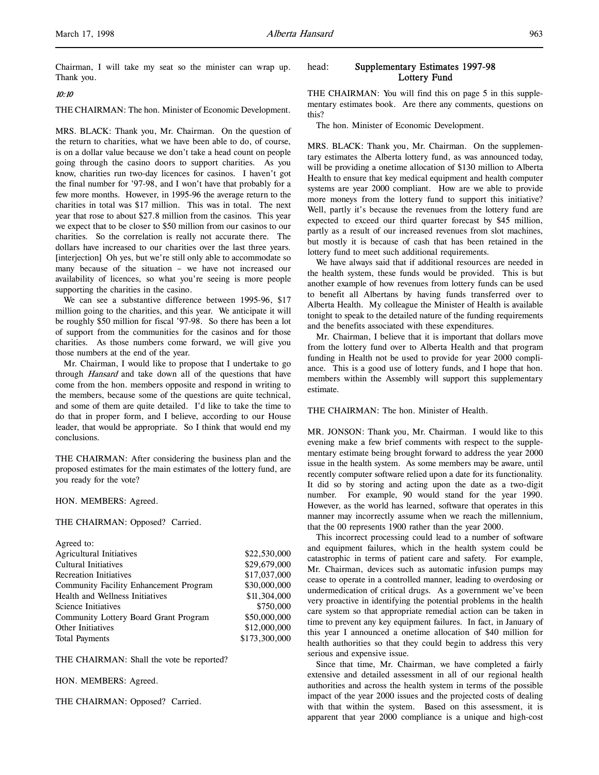Chairman, I will take my seat so the minister can wrap up. Thank you.

# 10:10

THE CHAIRMAN: The hon. Minister of Economic Development.

MRS. BLACK: Thank you, Mr. Chairman. On the question of the return to charities, what we have been able to do, of course, is on a dollar value because we don't take a head count on people going through the casino doors to support charities. As you know, charities run two-day licences for casinos. I haven't got the final number for '97-98, and I won't have that probably for a few more months. However, in 1995-96 the average return to the charities in total was \$17 million. This was in total. The next year that rose to about \$27.8 million from the casinos. This year we expect that to be closer to \$50 million from our casinos to our charities. So the correlation is really not accurate there. The dollars have increased to our charities over the last three years. [interjection] Oh yes, but we're still only able to accommodate so many because of the situation – we have not increased our availability of licences, so what you're seeing is more people supporting the charities in the casino.

We can see a substantive difference between 1995-96, \$17 million going to the charities, and this year. We anticipate it will be roughly \$50 million for fiscal '97-98. So there has been a lot of support from the communities for the casinos and for those charities. As those numbers come forward, we will give you those numbers at the end of the year.

Mr. Chairman, I would like to propose that I undertake to go through Hansard and take down all of the questions that have come from the hon. members opposite and respond in writing to the members, because some of the questions are quite technical, and some of them are quite detailed. I'd like to take the time to do that in proper form, and I believe, according to our House leader, that would be appropriate. So I think that would end my conclusions.

THE CHAIRMAN: After considering the business plan and the proposed estimates for the main estimates of the lottery fund, are you ready for the vote?

#### HON. MEMBERS: Agreed.

THE CHAIRMAN: Opposed? Carried.

| Agreed to:                             |               |
|----------------------------------------|---------------|
| <b>Agricultural Initiatives</b>        | \$22,530,000  |
| Cultural Initiatives                   | \$29,679,000  |
| Recreation Initiatives                 | \$17,037,000  |
| Community Facility Enhancement Program | \$30,000,000  |
| Health and Wellness Initiatives        | \$11,304,000  |
| Science Initiatives                    | \$750,000     |
| Community Lottery Board Grant Program  | \$50,000,000  |
| <b>Other Initiatives</b>               | \$12,000,000  |
| <b>Total Payments</b>                  | \$173,300,000 |
|                                        |               |

THE CHAIRMAN: Shall the vote be reported?

HON. MEMBERS: Agreed.

THE CHAIRMAN: Opposed? Carried.

# head: Supplementary Estimates 1997-98 Lottery Fund

THE CHAIRMAN: You will find this on page 5 in this supplementary estimates book. Are there any comments, questions on this?

The hon. Minister of Economic Development.

MRS. BLACK: Thank you, Mr. Chairman. On the supplementary estimates the Alberta lottery fund, as was announced today, will be providing a onetime allocation of \$130 million to Alberta Health to ensure that key medical equipment and health computer systems are year 2000 compliant. How are we able to provide more moneys from the lottery fund to support this initiative? Well, partly it's because the revenues from the lottery fund are expected to exceed our third quarter forecast by \$45 million, partly as a result of our increased revenues from slot machines, but mostly it is because of cash that has been retained in the lottery fund to meet such additional requirements.

We have always said that if additional resources are needed in the health system, these funds would be provided. This is but another example of how revenues from lottery funds can be used to benefit all Albertans by having funds transferred over to Alberta Health. My colleague the Minister of Health is available tonight to speak to the detailed nature of the funding requirements and the benefits associated with these expenditures.

Mr. Chairman, I believe that it is important that dollars move from the lottery fund over to Alberta Health and that program funding in Health not be used to provide for year 2000 compliance. This is a good use of lottery funds, and I hope that hon. members within the Assembly will support this supplementary estimate.

THE CHAIRMAN: The hon. Minister of Health.

MR. JONSON: Thank you, Mr. Chairman. I would like to this evening make a few brief comments with respect to the supplementary estimate being brought forward to address the year 2000 issue in the health system. As some members may be aware, until recently computer software relied upon a date for its functionality. It did so by storing and acting upon the date as a two-digit number. For example, 90 would stand for the year 1990. However, as the world has learned, software that operates in this manner may incorrectly assume when we reach the millennium, that the 00 represents 1900 rather than the year 2000.

This incorrect processing could lead to a number of software and equipment failures, which in the health system could be catastrophic in terms of patient care and safety. For example, Mr. Chairman, devices such as automatic infusion pumps may cease to operate in a controlled manner, leading to overdosing or undermedication of critical drugs. As a government we've been very proactive in identifying the potential problems in the health care system so that appropriate remedial action can be taken in time to prevent any key equipment failures. In fact, in January of this year I announced a onetime allocation of \$40 million for health authorities so that they could begin to address this very serious and expensive issue.

Since that time, Mr. Chairman, we have completed a fairly extensive and detailed assessment in all of our regional health authorities and across the health system in terms of the possible impact of the year 2000 issues and the projected costs of dealing with that within the system. Based on this assessment, it is apparent that year 2000 compliance is a unique and high-cost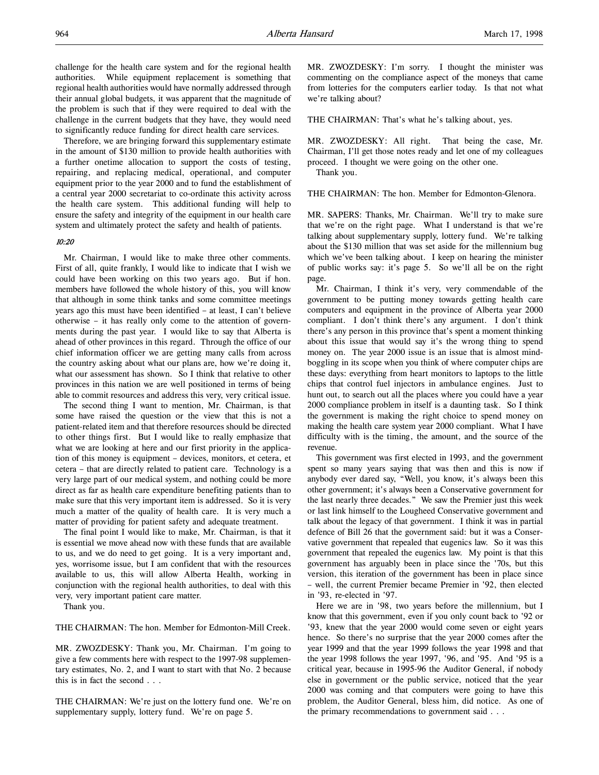challenge for the health care system and for the regional health authorities. While equipment replacement is something that regional health authorities would have normally addressed through their annual global budgets, it was apparent that the magnitude of the problem is such that if they were required to deal with the challenge in the current budgets that they have, they would need to significantly reduce funding for direct health care services.

Therefore, we are bringing forward this supplementary estimate in the amount of \$130 million to provide health authorities with a further onetime allocation to support the costs of testing, repairing, and replacing medical, operational, and computer equipment prior to the year 2000 and to fund the establishment of a central year 2000 secretariat to co-ordinate this activity across the health care system. This additional funding will help to ensure the safety and integrity of the equipment in our health care system and ultimately protect the safety and health of patients.

# 10:20

Mr. Chairman, I would like to make three other comments. First of all, quite frankly, I would like to indicate that I wish we could have been working on this two years ago. But if hon. members have followed the whole history of this, you will know that although in some think tanks and some committee meetings years ago this must have been identified – at least, I can't believe otherwise – it has really only come to the attention of governments during the past year. I would like to say that Alberta is ahead of other provinces in this regard. Through the office of our chief information officer we are getting many calls from across the country asking about what our plans are, how we're doing it, what our assessment has shown. So I think that relative to other provinces in this nation we are well positioned in terms of being able to commit resources and address this very, very critical issue.

The second thing I want to mention, Mr. Chairman, is that some have raised the question or the view that this is not a patient-related item and that therefore resources should be directed to other things first. But I would like to really emphasize that what we are looking at here and our first priority in the application of this money is equipment – devices, monitors, et cetera, et cetera – that are directly related to patient care. Technology is a very large part of our medical system, and nothing could be more direct as far as health care expenditure benefiting patients than to make sure that this very important item is addressed. So it is very much a matter of the quality of health care. It is very much a matter of providing for patient safety and adequate treatment.

The final point I would like to make, Mr. Chairman, is that it is essential we move ahead now with these funds that are available to us, and we do need to get going. It is a very important and, yes, worrisome issue, but I am confident that with the resources available to us, this will allow Alberta Health, working in conjunction with the regional health authorities, to deal with this very, very important patient care matter.

Thank you.

THE CHAIRMAN: The hon. Member for Edmonton-Mill Creek.

MR. ZWOZDESKY: Thank you, Mr. Chairman. I'm going to give a few comments here with respect to the 1997-98 supplementary estimates, No. 2, and I want to start with that No. 2 because this is in fact the second . . .

THE CHAIRMAN: We're just on the lottery fund one. We're on supplementary supply, lottery fund. We're on page 5.

MR. ZWOZDESKY: I'm sorry. I thought the minister was commenting on the compliance aspect of the moneys that came from lotteries for the computers earlier today. Is that not what we're talking about?

THE CHAIRMAN: That's what he's talking about, yes.

MR. ZWOZDESKY: All right. That being the case, Mr. Chairman, I'll get those notes ready and let one of my colleagues proceed. I thought we were going on the other one.

Thank you.

THE CHAIRMAN: The hon. Member for Edmonton-Glenora.

MR. SAPERS: Thanks, Mr. Chairman. We'll try to make sure that we're on the right page. What I understand is that we're talking about supplementary supply, lottery fund. We're talking about the \$130 million that was set aside for the millennium bug which we've been talking about. I keep on hearing the minister of public works say: it's page 5. So we'll all be on the right page.

Mr. Chairman, I think it's very, very commendable of the government to be putting money towards getting health care computers and equipment in the province of Alberta year 2000 compliant. I don't think there's any argument. I don't think there's any person in this province that's spent a moment thinking about this issue that would say it's the wrong thing to spend money on. The year 2000 issue is an issue that is almost mindboggling in its scope when you think of where computer chips are these days: everything from heart monitors to laptops to the little chips that control fuel injectors in ambulance engines. Just to hunt out, to search out all the places where you could have a year 2000 compliance problem in itself is a daunting task. So I think the government is making the right choice to spend money on making the health care system year 2000 compliant. What I have difficulty with is the timing, the amount, and the source of the revenue.

This government was first elected in 1993, and the government spent so many years saying that was then and this is now if anybody ever dared say, "Well, you know, it's always been this other government; it's always been a Conservative government for the last nearly three decades." We saw the Premier just this week or last link himself to the Lougheed Conservative government and talk about the legacy of that government. I think it was in partial defence of Bill 26 that the government said: but it was a Conservative government that repealed that eugenics law. So it was this government that repealed the eugenics law. My point is that this government has arguably been in place since the '70s, but this version, this iteration of the government has been in place since – well, the current Premier became Premier in '92, then elected in '93, re-elected in '97.

Here we are in '98, two years before the millennium, but I know that this government, even if you only count back to '92 or '93, knew that the year 2000 would come seven or eight years hence. So there's no surprise that the year 2000 comes after the year 1999 and that the year 1999 follows the year 1998 and that the year 1998 follows the year 1997, '96, and '95. And '95 is a critical year, because in 1995-96 the Auditor General, if nobody else in government or the public service, noticed that the year 2000 was coming and that computers were going to have this problem, the Auditor General, bless him, did notice. As one of the primary recommendations to government said . . .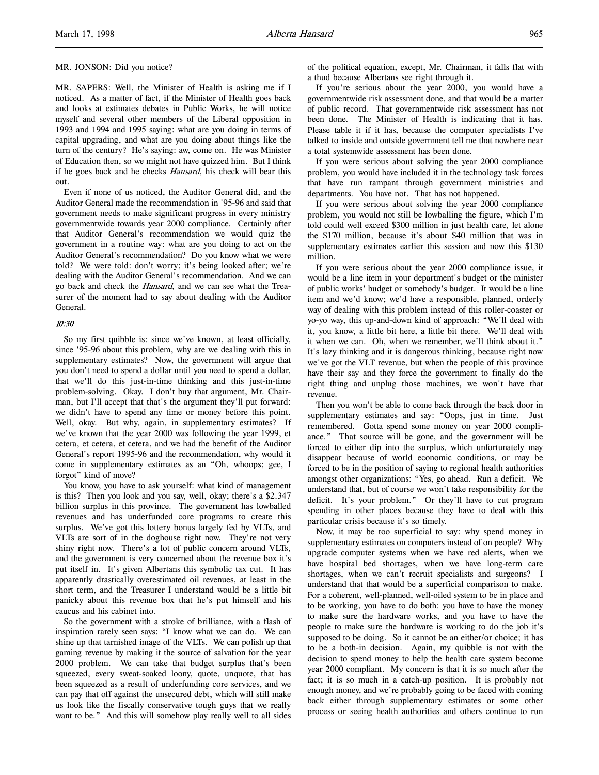MR. SAPERS: Well, the Minister of Health is asking me if I noticed. As a matter of fact, if the Minister of Health goes back and looks at estimates debates in Public Works, he will notice myself and several other members of the Liberal opposition in 1993 and 1994 and 1995 saying: what are you doing in terms of capital upgrading, and what are you doing about things like the turn of the century? He's saying: aw, come on. He was Minister of Education then, so we might not have quizzed him. But I think if he goes back and he checks Hansard, his check will bear this out.

Even if none of us noticed, the Auditor General did, and the Auditor General made the recommendation in '95-96 and said that government needs to make significant progress in every ministry governmentwide towards year 2000 compliance. Certainly after that Auditor General's recommendation we would quiz the government in a routine way: what are you doing to act on the Auditor General's recommendation? Do you know what we were told? We were told: don't worry; it's being looked after; we're dealing with the Auditor General's recommendation. And we can go back and check the *Hansard*, and we can see what the Treasurer of the moment had to say about dealing with the Auditor General.

# 10:30

So my first quibble is: since we've known, at least officially, since '95-96 about this problem, why are we dealing with this in supplementary estimates? Now, the government will argue that you don't need to spend a dollar until you need to spend a dollar, that we'll do this just-in-time thinking and this just-in-time problem-solving. Okay. I don't buy that argument, Mr. Chairman, but I'll accept that that's the argument they'll put forward: we didn't have to spend any time or money before this point. Well, okay. But why, again, in supplementary estimates? If we've known that the year 2000 was following the year 1999, et cetera, et cetera, et cetera, and we had the benefit of the Auditor General's report 1995-96 and the recommendation, why would it come in supplementary estimates as an "Oh, whoops; gee, I forgot" kind of move?

You know, you have to ask yourself: what kind of management is this? Then you look and you say, well, okay; there's a \$2.347 billion surplus in this province. The government has lowballed revenues and has underfunded core programs to create this surplus. We've got this lottery bonus largely fed by VLTs, and VLTs are sort of in the doghouse right now. They're not very shiny right now. There's a lot of public concern around VLTs, and the government is very concerned about the revenue box it's put itself in. It's given Albertans this symbolic tax cut. It has apparently drastically overestimated oil revenues, at least in the short term, and the Treasurer I understand would be a little bit panicky about this revenue box that he's put himself and his caucus and his cabinet into.

So the government with a stroke of brilliance, with a flash of inspiration rarely seen says: "I know what we can do. We can shine up that tarnished image of the VLTs. We can polish up that gaming revenue by making it the source of salvation for the year 2000 problem. We can take that budget surplus that's been squeezed, every sweat-soaked loony, quote, unquote, that has been squeezed as a result of underfunding core services, and we can pay that off against the unsecured debt, which will still make us look like the fiscally conservative tough guys that we really want to be." And this will somehow play really well to all sides

of the political equation, except, Mr. Chairman, it falls flat with a thud because Albertans see right through it.

If you're serious about the year 2000, you would have a governmentwide risk assessment done, and that would be a matter of public record. That governmentwide risk assessment has not been done. The Minister of Health is indicating that it has. Please table it if it has, because the computer specialists I've talked to inside and outside government tell me that nowhere near a total systemwide assessment has been done.

If you were serious about solving the year 2000 compliance problem, you would have included it in the technology task forces that have run rampant through government ministries and departments. You have not. That has not happened.

If you were serious about solving the year 2000 compliance problem, you would not still be lowballing the figure, which I'm told could well exceed \$300 million in just health care, let alone the \$170 million, because it's about \$40 million that was in supplementary estimates earlier this session and now this \$130 million.

If you were serious about the year 2000 compliance issue, it would be a line item in your department's budget or the minister of public works' budget or somebody's budget. It would be a line item and we'd know; we'd have a responsible, planned, orderly way of dealing with this problem instead of this roller-coaster or yo-yo way, this up-and-down kind of approach: "We'll deal with it, you know, a little bit here, a little bit there. We'll deal with it when we can. Oh, when we remember, we'll think about it." It's lazy thinking and it is dangerous thinking, because right now we've got the VLT revenue, but when the people of this province have their say and they force the government to finally do the right thing and unplug those machines, we won't have that revenue.

Then you won't be able to come back through the back door in supplementary estimates and say: "Oops, just in time. Just remembered. Gotta spend some money on year 2000 compliance." That source will be gone, and the government will be forced to either dip into the surplus, which unfortunately may disappear because of world economic conditions, or may be forced to be in the position of saying to regional health authorities amongst other organizations: "Yes, go ahead. Run a deficit. We understand that, but of course we won't take responsibility for the deficit. It's your problem." Or they'll have to cut program spending in other places because they have to deal with this particular crisis because it's so timely.

Now, it may be too superficial to say: why spend money in supplementary estimates on computers instead of on people? Why upgrade computer systems when we have red alerts, when we have hospital bed shortages, when we have long-term care shortages, when we can't recruit specialists and surgeons? I understand that that would be a superficial comparison to make. For a coherent, well-planned, well-oiled system to be in place and to be working, you have to do both: you have to have the money to make sure the hardware works, and you have to have the people to make sure the hardware is working to do the job it's supposed to be doing. So it cannot be an either/or choice; it has to be a both-in decision. Again, my quibble is not with the decision to spend money to help the health care system become year 2000 compliant. My concern is that it is so much after the fact; it is so much in a catch-up position. It is probably not enough money, and we're probably going to be faced with coming back either through supplementary estimates or some other process or seeing health authorities and others continue to run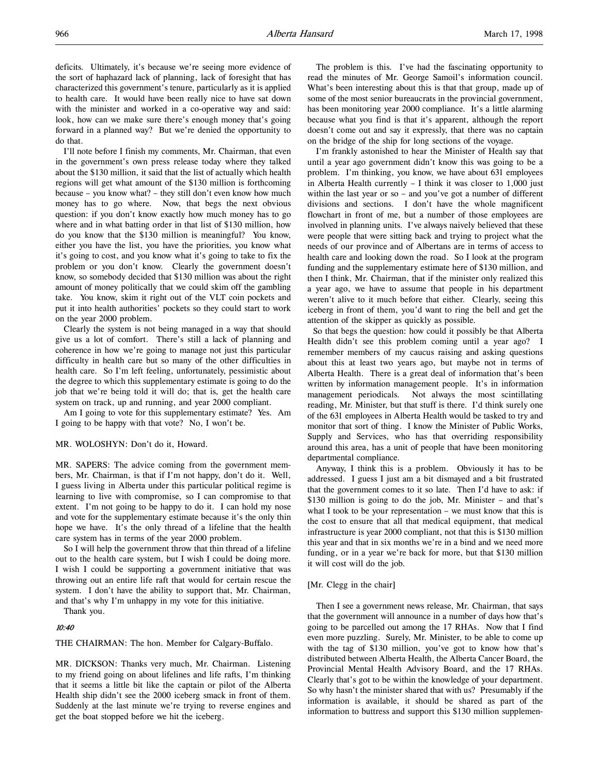deficits. Ultimately, it's because we're seeing more evidence of the sort of haphazard lack of planning, lack of foresight that has characterized this government's tenure, particularly as it is applied to health care. It would have been really nice to have sat down with the minister and worked in a co-operative way and said: look, how can we make sure there's enough money that's going forward in a planned way? But we're denied the opportunity to do that.

I'll note before I finish my comments, Mr. Chairman, that even in the government's own press release today where they talked about the \$130 million, it said that the list of actually which health regions will get what amount of the \$130 million is forthcoming because – you know what? – they still don't even know how much money has to go where. Now, that begs the next obvious question: if you don't know exactly how much money has to go where and in what batting order in that list of \$130 million, how do you know that the \$130 million is meaningful? You know, either you have the list, you have the priorities, you know what it's going to cost, and you know what it's going to take to fix the problem or you don't know. Clearly the government doesn't know, so somebody decided that \$130 million was about the right amount of money politically that we could skim off the gambling take. You know, skim it right out of the VLT coin pockets and put it into health authorities' pockets so they could start to work on the year 2000 problem.

Clearly the system is not being managed in a way that should give us a lot of comfort. There's still a lack of planning and coherence in how we're going to manage not just this particular difficulty in health care but so many of the other difficulties in health care. So I'm left feeling, unfortunately, pessimistic about the degree to which this supplementary estimate is going to do the job that we're being told it will do; that is, get the health care system on track, up and running, and year 2000 compliant.

Am I going to vote for this supplementary estimate? Yes. Am I going to be happy with that vote? No, I won't be.

#### MR. WOLOSHYN: Don't do it, Howard.

MR. SAPERS: The advice coming from the government members, Mr. Chairman, is that if I'm not happy, don't do it. Well, I guess living in Alberta under this particular political regime is learning to live with compromise, so I can compromise to that extent. I'm not going to be happy to do it. I can hold my nose and vote for the supplementary estimate because it's the only thin hope we have. It's the only thread of a lifeline that the health care system has in terms of the year 2000 problem.

So I will help the government throw that thin thread of a lifeline out to the health care system, but I wish I could be doing more. I wish I could be supporting a government initiative that was throwing out an entire life raft that would for certain rescue the system. I don't have the ability to support that, Mr. Chairman, and that's why I'm unhappy in my vote for this initiative.

Thank you.

#### 10:40

THE CHAIRMAN: The hon. Member for Calgary-Buffalo.

MR. DICKSON: Thanks very much, Mr. Chairman. Listening to my friend going on about lifelines and life rafts, I'm thinking that it seems a little bit like the captain or pilot of the Alberta Health ship didn't see the 2000 iceberg smack in front of them. Suddenly at the last minute we're trying to reverse engines and get the boat stopped before we hit the iceberg.

The problem is this. I've had the fascinating opportunity to read the minutes of Mr. George Samoil's information council. What's been interesting about this is that that group, made up of some of the most senior bureaucrats in the provincial government, has been monitoring year 2000 compliance. It's a little alarming because what you find is that it's apparent, although the report doesn't come out and say it expressly, that there was no captain on the bridge of the ship for long sections of the voyage.

I'm frankly astonished to hear the Minister of Health say that until a year ago government didn't know this was going to be a problem. I'm thinking, you know, we have about 631 employees in Alberta Health currently  $- I$  think it was closer to 1,000 just within the last year or so – and you've got a number of different divisions and sections. I don't have the whole magnificent flowchart in front of me, but a number of those employees are involved in planning units. I've always naively believed that these were people that were sitting back and trying to project what the needs of our province and of Albertans are in terms of access to health care and looking down the road. So I look at the program funding and the supplementary estimate here of \$130 million, and then I think, Mr. Chairman, that if the minister only realized this a year ago, we have to assume that people in his department weren't alive to it much before that either. Clearly, seeing this iceberg in front of them, you'd want to ring the bell and get the attention of the skipper as quickly as possible.

 So that begs the question: how could it possibly be that Alberta Health didn't see this problem coming until a year ago? I remember members of my caucus raising and asking questions about this at least two years ago, but maybe not in terms of Alberta Health. There is a great deal of information that's been written by information management people. It's in information management periodicals. Not always the most scintillating reading, Mr. Minister, but that stuff is there. I'd think surely one of the 631 employees in Alberta Health would be tasked to try and monitor that sort of thing. I know the Minister of Public Works, Supply and Services, who has that overriding responsibility around this area, has a unit of people that have been monitoring departmental compliance.

Anyway, I think this is a problem. Obviously it has to be addressed. I guess I just am a bit dismayed and a bit frustrated that the government comes to it so late. Then I'd have to ask: if \$130 million is going to do the job, Mr. Minister – and that's what I took to be your representation – we must know that this is the cost to ensure that all that medical equipment, that medical infrastructure is year 2000 compliant, not that this is \$130 million this year and that in six months we're in a bind and we need more funding, or in a year we're back for more, but that \$130 million it will cost will do the job.

### [Mr. Clegg in the chair]

Then I see a government news release, Mr. Chairman, that says that the government will announce in a number of days how that's going to be parcelled out among the 17 RHAs. Now that I find even more puzzling. Surely, Mr. Minister, to be able to come up with the tag of \$130 million, you've got to know how that's distributed between Alberta Health, the Alberta Cancer Board, the Provincial Mental Health Advisory Board, and the 17 RHAs. Clearly that's got to be within the knowledge of your department. So why hasn't the minister shared that with us? Presumably if the information is available, it should be shared as part of the information to buttress and support this \$130 million supplemen-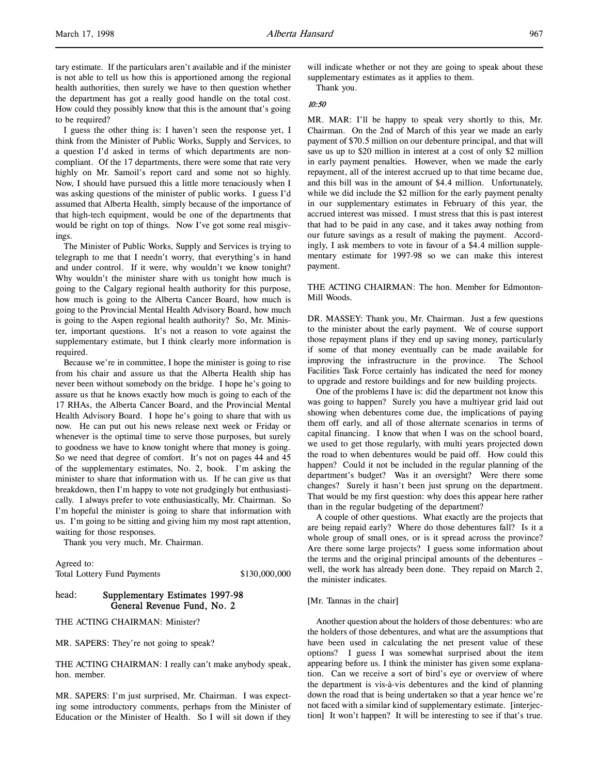tary estimate. If the particulars aren't available and if the minister is not able to tell us how this is apportioned among the regional health authorities, then surely we have to then question whether the department has got a really good handle on the total cost. How could they possibly know that this is the amount that's going to be required?

I guess the other thing is: I haven't seen the response yet, I think from the Minister of Public Works, Supply and Services, to a question I'd asked in terms of which departments are noncompliant. Of the 17 departments, there were some that rate very highly on Mr. Samoil's report card and some not so highly. Now, I should have pursued this a little more tenaciously when I was asking questions of the minister of public works. I guess I'd assumed that Alberta Health, simply because of the importance of that high-tech equipment, would be one of the departments that would be right on top of things. Now I've got some real misgivings.

The Minister of Public Works, Supply and Services is trying to telegraph to me that I needn't worry, that everything's in hand and under control. If it were, why wouldn't we know tonight? Why wouldn't the minister share with us tonight how much is going to the Calgary regional health authority for this purpose, how much is going to the Alberta Cancer Board, how much is going to the Provincial Mental Health Advisory Board, how much is going to the Aspen regional health authority? So, Mr. Minister, important questions. It's not a reason to vote against the supplementary estimate, but I think clearly more information is required.

Because we're in committee, I hope the minister is going to rise from his chair and assure us that the Alberta Health ship has never been without somebody on the bridge. I hope he's going to assure us that he knows exactly how much is going to each of the 17 RHAs, the Alberta Cancer Board, and the Provincial Mental Health Advisory Board. I hope he's going to share that with us now. He can put out his news release next week or Friday or whenever is the optimal time to serve those purposes, but surely to goodness we have to know tonight where that money is going. So we need that degree of comfort. It's not on pages 44 and 45 of the supplementary estimates, No. 2, book. I'm asking the minister to share that information with us. If he can give us that breakdown, then I'm happy to vote not grudgingly but enthusiastically. I always prefer to vote enthusiastically, Mr. Chairman. So I'm hopeful the minister is going to share that information with us. I'm going to be sitting and giving him my most rapt attention, waiting for those responses.

Thank you very much, Mr. Chairman.

Agreed to: Total Lottery Fund Payments \$130,000,000

# head: Supplementary Estimates 1997-98 General Revenue Fund, No. 2

THE ACTING CHAIRMAN: Minister?

MR. SAPERS: They're not going to speak?

THE ACTING CHAIRMAN: I really can't make anybody speak, hon. member.

MR. SAPERS: I'm just surprised, Mr. Chairman. I was expecting some introductory comments, perhaps from the Minister of Education or the Minister of Health. So I will sit down if they

will indicate whether or not they are going to speak about these supplementary estimates as it applies to them.

Thank you.

# 10:50

MR. MAR: I'll be happy to speak very shortly to this, Mr. Chairman. On the 2nd of March of this year we made an early payment of \$70.5 million on our debenture principal, and that will save us up to \$20 million in interest at a cost of only \$2 million in early payment penalties. However, when we made the early repayment, all of the interest accrued up to that time became due, and this bill was in the amount of \$4.4 million. Unfortunately, while we did include the \$2 million for the early payment penalty in our supplementary estimates in February of this year, the accrued interest was missed. I must stress that this is past interest that had to be paid in any case, and it takes away nothing from our future savings as a result of making the payment. Accordingly, I ask members to vote in favour of a \$4.4 million supplementary estimate for 1997-98 so we can make this interest payment.

THE ACTING CHAIRMAN: The hon. Member for Edmonton-Mill Woods.

DR. MASSEY: Thank you, Mr. Chairman. Just a few questions to the minister about the early payment. We of course support those repayment plans if they end up saving money, particularly if some of that money eventually can be made available for improving the infrastructure in the province. The School Facilities Task Force certainly has indicated the need for money to upgrade and restore buildings and for new building projects.

One of the problems I have is: did the department not know this was going to happen? Surely you have a multiyear grid laid out showing when debentures come due, the implications of paying them off early, and all of those alternate scenarios in terms of capital financing. I know that when I was on the school board, we used to get those regularly, with multi years projected down the road to when debentures would be paid off. How could this happen? Could it not be included in the regular planning of the department's budget? Was it an oversight? Were there some changes? Surely it hasn't been just sprung on the department. That would be my first question: why does this appear here rather than in the regular budgeting of the department?

A couple of other questions. What exactly are the projects that are being repaid early? Where do those debentures fall? Is it a whole group of small ones, or is it spread across the province? Are there some large projects? I guess some information about the terms and the original principal amounts of the debentures – well, the work has already been done. They repaid on March 2, the minister indicates.

#### [Mr. Tannas in the chair]

Another question about the holders of those debentures: who are the holders of those debentures, and what are the assumptions that have been used in calculating the net present value of these options? I guess I was somewhat surprised about the item appearing before us. I think the minister has given some explanation. Can we receive a sort of bird's eye or overview of where the department is vis-à-vis debentures and the kind of planning down the road that is being undertaken so that a year hence we're not faced with a similar kind of supplementary estimate. [interjection] It won't happen? It will be interesting to see if that's true.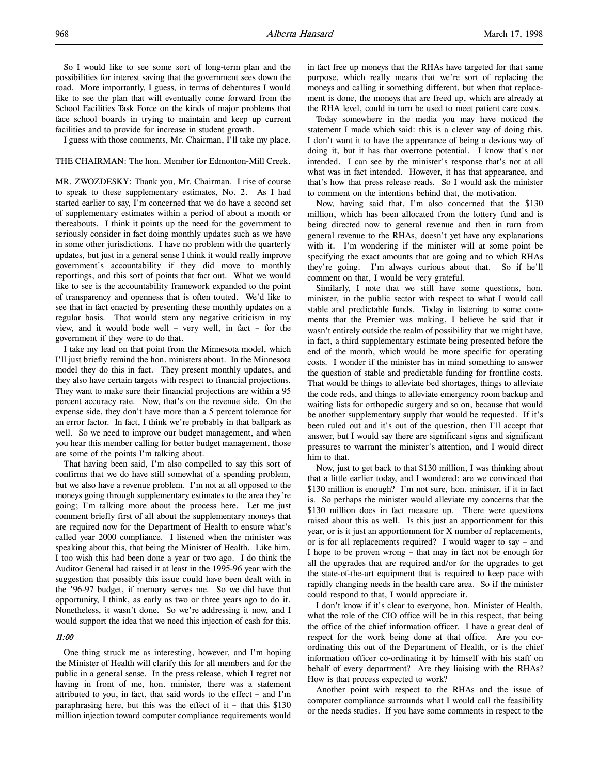So I would like to see some sort of long-term plan and the possibilities for interest saving that the government sees down the road. More importantly, I guess, in terms of debentures I would like to see the plan that will eventually come forward from the School Facilities Task Force on the kinds of major problems that face school boards in trying to maintain and keep up current facilities and to provide for increase in student growth.

I guess with those comments, Mr. Chairman, I'll take my place.

### THE CHAIRMAN: The hon. Member for Edmonton-Mill Creek.

MR. ZWOZDESKY: Thank you, Mr. Chairman. I rise of course to speak to these supplementary estimates, No. 2. As I had started earlier to say, I'm concerned that we do have a second set of supplementary estimates within a period of about a month or thereabouts. I think it points up the need for the government to seriously consider in fact doing monthly updates such as we have in some other jurisdictions. I have no problem with the quarterly updates, but just in a general sense I think it would really improve government's accountability if they did move to monthly reportings, and this sort of points that fact out. What we would like to see is the accountability framework expanded to the point of transparency and openness that is often touted. We'd like to see that in fact enacted by presenting these monthly updates on a regular basis. That would stem any negative criticism in my view, and it would bode well – very well, in fact – for the government if they were to do that.

I take my lead on that point from the Minnesota model, which I'll just briefly remind the hon. ministers about. In the Minnesota model they do this in fact. They present monthly updates, and they also have certain targets with respect to financial projections. They want to make sure their financial projections are within a 95 percent accuracy rate. Now, that's on the revenue side. On the expense side, they don't have more than a 5 percent tolerance for an error factor. In fact, I think we're probably in that ballpark as well. So we need to improve our budget management, and when you hear this member calling for better budget management, those are some of the points I'm talking about.

That having been said, I'm also compelled to say this sort of confirms that we do have still somewhat of a spending problem, but we also have a revenue problem. I'm not at all opposed to the moneys going through supplementary estimates to the area they're going; I'm talking more about the process here. Let me just comment briefly first of all about the supplementary moneys that are required now for the Department of Health to ensure what's called year 2000 compliance. I listened when the minister was speaking about this, that being the Minister of Health. Like him, I too wish this had been done a year or two ago. I do think the Auditor General had raised it at least in the 1995-96 year with the suggestion that possibly this issue could have been dealt with in the '96-97 budget, if memory serves me. So we did have that opportunity, I think, as early as two or three years ago to do it. Nonetheless, it wasn't done. So we're addressing it now, and I would support the idea that we need this injection of cash for this.

# 11:00

One thing struck me as interesting, however, and I'm hoping the Minister of Health will clarify this for all members and for the public in a general sense. In the press release, which I regret not having in front of me, hon. minister, there was a statement attributed to you, in fact, that said words to the effect – and I'm paraphrasing here, but this was the effect of it – that this \$130 million injection toward computer compliance requirements would

in fact free up moneys that the RHAs have targeted for that same purpose, which really means that we're sort of replacing the moneys and calling it something different, but when that replacement is done, the moneys that are freed up, which are already at the RHA level, could in turn be used to meet patient care costs.

Today somewhere in the media you may have noticed the statement I made which said: this is a clever way of doing this. I don't want it to have the appearance of being a devious way of doing it, but it has that overtone potential. I know that's not intended. I can see by the minister's response that's not at all what was in fact intended. However, it has that appearance, and that's how that press release reads. So I would ask the minister to comment on the intentions behind that, the motivation.

Now, having said that, I'm also concerned that the \$130 million, which has been allocated from the lottery fund and is being directed now to general revenue and then in turn from general revenue to the RHAs, doesn't yet have any explanations with it. I'm wondering if the minister will at some point be specifying the exact amounts that are going and to which RHAs they're going. I'm always curious about that. So if he'll comment on that, I would be very grateful.

Similarly, I note that we still have some questions, hon. minister, in the public sector with respect to what I would call stable and predictable funds. Today in listening to some comments that the Premier was making, I believe he said that it wasn't entirely outside the realm of possibility that we might have, in fact, a third supplementary estimate being presented before the end of the month, which would be more specific for operating costs. I wonder if the minister has in mind something to answer the question of stable and predictable funding for frontline costs. That would be things to alleviate bed shortages, things to alleviate the code reds, and things to alleviate emergency room backup and waiting lists for orthopedic surgery and so on, because that would be another supplementary supply that would be requested. If it's been ruled out and it's out of the question, then I'll accept that answer, but I would say there are significant signs and significant pressures to warrant the minister's attention, and I would direct him to that.

Now, just to get back to that \$130 million, I was thinking about that a little earlier today, and I wondered: are we convinced that \$130 million is enough? I'm not sure, hon. minister, if it in fact is. So perhaps the minister would alleviate my concerns that the \$130 million does in fact measure up. There were questions raised about this as well. Is this just an apportionment for this year, or is it just an apportionment for X number of replacements, or is for all replacements required? I would wager to say – and I hope to be proven wrong – that may in fact not be enough for all the upgrades that are required and/or for the upgrades to get the state-of-the-art equipment that is required to keep pace with rapidly changing needs in the health care area. So if the minister could respond to that, I would appreciate it.

I don't know if it's clear to everyone, hon. Minister of Health, what the role of the CIO office will be in this respect, that being the office of the chief information officer. I have a great deal of respect for the work being done at that office. Are you coordinating this out of the Department of Health, or is the chief information officer co-ordinating it by himself with his staff on behalf of every department? Are they liaising with the RHAs? How is that process expected to work?

Another point with respect to the RHAs and the issue of computer compliance surrounds what I would call the feasibility or the needs studies. If you have some comments in respect to the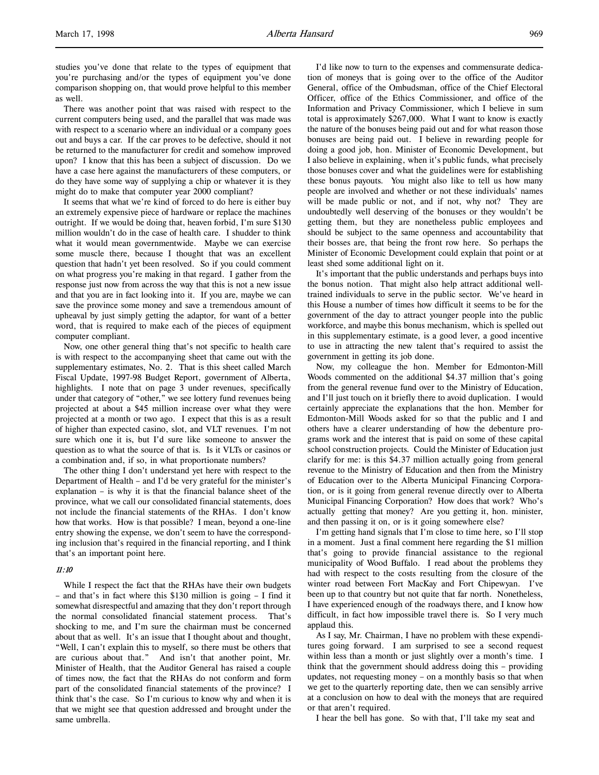studies you've done that relate to the types of equipment that you're purchasing and/or the types of equipment you've done comparison shopping on, that would prove helpful to this member as well.

There was another point that was raised with respect to the current computers being used, and the parallel that was made was with respect to a scenario where an individual or a company goes out and buys a car. If the car proves to be defective, should it not be returned to the manufacturer for credit and somehow improved upon? I know that this has been a subject of discussion. Do we have a case here against the manufacturers of these computers, or do they have some way of supplying a chip or whatever it is they might do to make that computer year 2000 compliant?

It seems that what we're kind of forced to do here is either buy an extremely expensive piece of hardware or replace the machines outright. If we would be doing that, heaven forbid, I'm sure \$130 million wouldn't do in the case of health care. I shudder to think what it would mean governmentwide. Maybe we can exercise some muscle there, because I thought that was an excellent question that hadn't yet been resolved. So if you could comment on what progress you're making in that regard. I gather from the response just now from across the way that this is not a new issue and that you are in fact looking into it. If you are, maybe we can save the province some money and save a tremendous amount of upheaval by just simply getting the adaptor, for want of a better word, that is required to make each of the pieces of equipment computer compliant.

Now, one other general thing that's not specific to health care is with respect to the accompanying sheet that came out with the supplementary estimates, No. 2. That is this sheet called March Fiscal Update, 1997-98 Budget Report, government of Alberta, highlights. I note that on page 3 under revenues, specifically under that category of "other," we see lottery fund revenues being projected at about a \$45 million increase over what they were projected at a month or two ago. I expect that this is as a result of higher than expected casino, slot, and VLT revenues. I'm not sure which one it is, but I'd sure like someone to answer the question as to what the source of that is. Is it VLTs or casinos or a combination and, if so, in what proportionate numbers?

The other thing I don't understand yet here with respect to the Department of Health – and I'd be very grateful for the minister's explanation – is why it is that the financial balance sheet of the province, what we call our consolidated financial statements, does not include the financial statements of the RHAs. I don't know how that works. How is that possible? I mean, beyond a one-line entry showing the expense, we don't seem to have the corresponding inclusion that's required in the financial reporting, and I think that's an important point here.

# 11:10

While I respect the fact that the RHAs have their own budgets – and that's in fact where this \$130 million is going – I find it somewhat disrespectful and amazing that they don't report through the normal consolidated financial statement process. That's shocking to me, and I'm sure the chairman must be concerned about that as well. It's an issue that I thought about and thought, "Well, I can't explain this to myself, so there must be others that are curious about that." And isn't that another point, Mr. Minister of Health, that the Auditor General has raised a couple of times now, the fact that the RHAs do not conform and form part of the consolidated financial statements of the province? I think that's the case. So I'm curious to know why and when it is that we might see that question addressed and brought under the same umbrella.

I'd like now to turn to the expenses and commensurate dedication of moneys that is going over to the office of the Auditor General, office of the Ombudsman, office of the Chief Electoral Officer, office of the Ethics Commissioner, and office of the Information and Privacy Commissioner, which I believe in sum total is approximately \$267,000. What I want to know is exactly the nature of the bonuses being paid out and for what reason those bonuses are being paid out. I believe in rewarding people for doing a good job, hon. Minister of Economic Development, but I also believe in explaining, when it's public funds, what precisely those bonuses cover and what the guidelines were for establishing these bonus payouts. You might also like to tell us how many people are involved and whether or not these individuals' names will be made public or not, and if not, why not? They are undoubtedly well deserving of the bonuses or they wouldn't be getting them, but they are nonetheless public employees and should be subject to the same openness and accountability that their bosses are, that being the front row here. So perhaps the Minister of Economic Development could explain that point or at least shed some additional light on it.

It's important that the public understands and perhaps buys into the bonus notion. That might also help attract additional welltrained individuals to serve in the public sector. We've heard in this House a number of times how difficult it seems to be for the government of the day to attract younger people into the public workforce, and maybe this bonus mechanism, which is spelled out in this supplementary estimate, is a good lever, a good incentive to use in attracting the new talent that's required to assist the government in getting its job done.

Now, my colleague the hon. Member for Edmonton-Mill Woods commented on the additional \$4.37 million that's going from the general revenue fund over to the Ministry of Education, and I'll just touch on it briefly there to avoid duplication. I would certainly appreciate the explanations that the hon. Member for Edmonton-Mill Woods asked for so that the public and I and others have a clearer understanding of how the debenture programs work and the interest that is paid on some of these capital school construction projects. Could the Minister of Education just clarify for me: is this \$4.37 million actually going from general revenue to the Ministry of Education and then from the Ministry of Education over to the Alberta Municipal Financing Corporation, or is it going from general revenue directly over to Alberta Municipal Financing Corporation? How does that work? Who's actually getting that money? Are you getting it, hon. minister, and then passing it on, or is it going somewhere else?

I'm getting hand signals that I'm close to time here, so I'll stop in a moment. Just a final comment here regarding the \$1 million that's going to provide financial assistance to the regional municipality of Wood Buffalo. I read about the problems they had with respect to the costs resulting from the closure of the winter road between Fort MacKay and Fort Chipewyan. I've been up to that country but not quite that far north. Nonetheless, I have experienced enough of the roadways there, and I know how difficult, in fact how impossible travel there is. So I very much applaud this.

As I say, Mr. Chairman, I have no problem with these expenditures going forward. I am surprised to see a second request within less than a month or just slightly over a month's time. I think that the government should address doing this – providing updates, not requesting money – on a monthly basis so that when we get to the quarterly reporting date, then we can sensibly arrive at a conclusion on how to deal with the moneys that are required or that aren't required.

I hear the bell has gone. So with that, I'll take my seat and